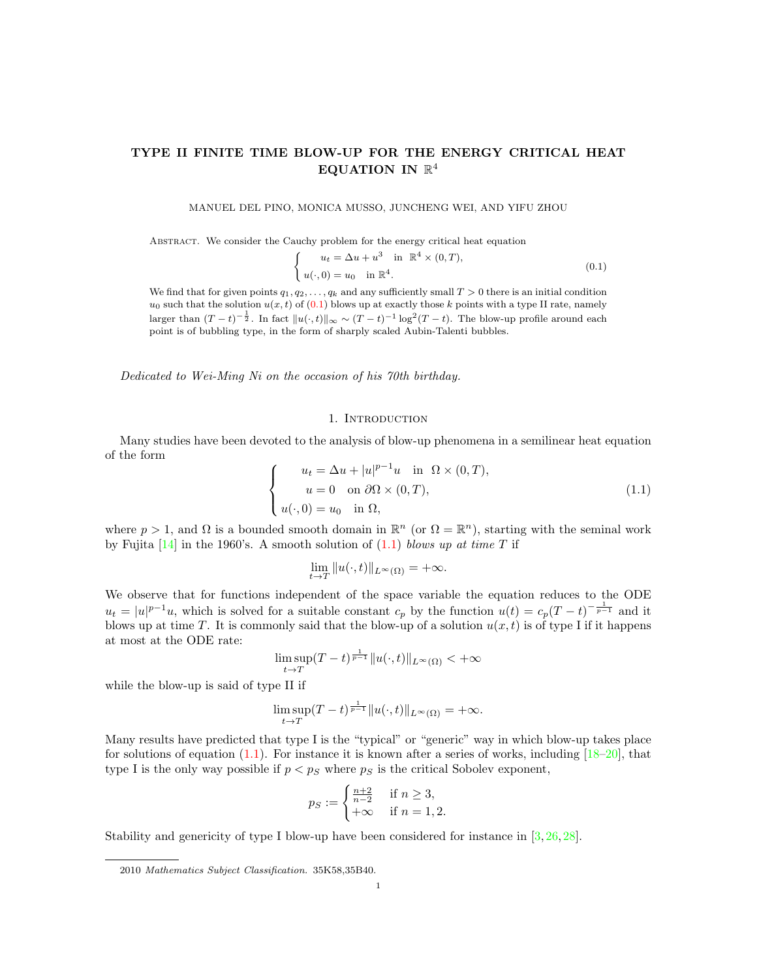# TYPE II FINITE TIME BLOW-UP FOR THE ENERGY CRITICAL HEAT EQUATION IN  $\mathbb{R}^4$

MANUEL DEL PINO, MONICA MUSSO, JUNCHENG WEI, AND YIFU ZHOU

Abstract. We consider the Cauchy problem for the energy critical heat equation

<span id="page-0-0"></span>
$$
\begin{cases}\n u_t = \Delta u + u^3 \quad \text{in } \mathbb{R}^4 \times (0, T), \\
 u(\cdot, 0) = u_0 \quad \text{in } \mathbb{R}^4.\n\end{cases}
$$
\n(0.1)

We find that for given points  $q_1, q_2, \ldots, q_k$  and any sufficiently small  $T > 0$  there is an initial condition  $u_0$  such that the solution  $u(x, t)$  of  $(0.1)$  blows up at exactly those k points with a type II rate, namely larger than  $(T-t)^{-\frac{1}{2}}$ . In fact  $||u(\cdot,t)||_{\infty} \sim (T-t)^{-1} \log^2(T-t)$ . The blow-up profile around each point is of bubbling type, in the form of sharply scaled Aubin-Talenti bubbles.

Dedicated to Wei-Ming Ni on the occasion of his 70th birthday.

#### 1. INTRODUCTION

Many studies have been devoted to the analysis of blow-up phenomena in a semilinear heat equation of the form

<span id="page-0-1"></span>
$$
\begin{cases}\n u_t = \Delta u + |u|^{p-1}u \quad \text{in} \ \Omega \times (0,T), \\
 u = 0 \quad \text{on} \ \partial\Omega \times (0,T), \\
 u(\cdot,0) = u_0 \quad \text{in} \ \Omega,\n\end{cases}
$$
\n(1.1)

where  $p > 1$ , and  $\Omega$  is a bounded smooth domain in  $\mathbb{R}^n$  (or  $\Omega = \mathbb{R}^n$ ), starting with the seminal work by Fujita  $[14]$  in the 1960's. A smooth solution of  $(1.1)$  blows up at time T if

$$
\lim_{t \to T} ||u(\cdot, t)||_{L^{\infty}(\Omega)} = +\infty.
$$

We observe that for functions independent of the space variable the equation reduces to the ODE  $u_t = |u|^{p-1}u$ , which is solved for a suitable constant  $c_p$  by the function  $u(t) = c_p(T-t)^{-\frac{1}{p-1}}$  and it blows up at time T. It is commonly said that the blow-up of a solution  $u(x, t)$  is of type I if it happens at most at the ODE rate:

$$
\limsup_{t \to T} (T-t)^{\frac{1}{p-1}} \|u(\cdot,t)\|_{L^{\infty}(\Omega)} < +\infty
$$

while the blow-up is said of type II if

$$
\limsup_{t \to T} (T-t)^{\frac{1}{p-1}} \|u(\cdot,t)\|_{L^{\infty}(\Omega)} = +\infty.
$$

Many results have predicted that type I is the "typical" or "generic" way in which blow-up takes place for solutions of equation  $(1.1)$ . For instance it is known after a series of works, including  $[18–20]$  $[18–20]$ , that type I is the only way possible if  $p < p<sub>S</sub>$  where  $p<sub>S</sub>$  is the critical Sobolev exponent,

$$
p_S := \begin{cases} \frac{n+2}{n-2} & \text{if } n \ge 3, \\ +\infty & \text{if } n = 1, 2. \end{cases}
$$

Stability and genericity of type I blow-up have been considered for instance in [\[3,](#page-23-0) [26,](#page-24-3) [28\]](#page-24-4).

<sup>2010</sup> Mathematics Subject Classification. 35K58,35B40.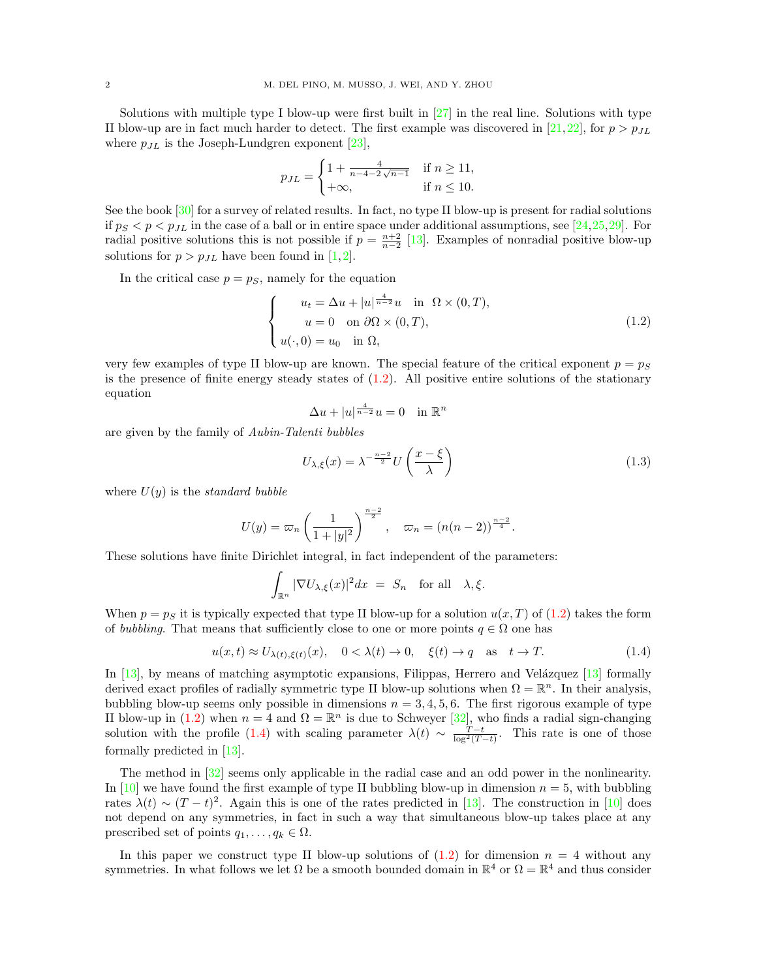Solutions with multiple type I blow-up were first built in  $[27]$  in the real line. Solutions with type II blow-up are in fact much harder to detect. The first example was discovered in [\[21,](#page-24-6) [22\]](#page-24-7), for  $p > p_{JL}$ where  $p_{JL}$  is the Joseph-Lundgren exponent [\[23\]](#page-24-8),

$$
p_{JL} = \begin{cases} 1 + \frac{4}{n - 4 - 2\sqrt{n - 1}} & \text{if } n \ge 11, \\ +\infty, & \text{if } n \le 10. \end{cases}
$$

See the book [\[30\]](#page-24-9) for a survey of related results. In fact, no type II blow-up is present for radial solutions if  $p_S < p < p_{JL}$  in the case of a ball or in entire space under additional assumptions, see [\[24,](#page-24-10)[25,](#page-24-11)[29\]](#page-24-12). For radial positive solutions this is not possible if  $p = \frac{n+2}{n-2}$  [\[13\]](#page-24-13). Examples of nonradial positive blow-up solutions for  $p > p_{JL}$  have been found in [\[1,](#page-23-1)[2\]](#page-23-2).

In the critical case  $p = p<sub>S</sub>$ , namely for the equation

<span id="page-1-0"></span>
$$
\begin{cases}\n u_t = \Delta u + |u|^{\frac{4}{n-2}} u & \text{in } \Omega \times (0, T), \\
 u = 0 & \text{on } \partial \Omega \times (0, T), \\
 u(\cdot, 0) = u_0 & \text{in } \Omega,\n\end{cases}
$$
\n(1.2)

very few examples of type II blow-up are known. The special feature of the critical exponent  $p = p<sub>S</sub>$ is the presence of finite energy steady states of  $(1.2)$ . All positive entire solutions of the stationary equation

$$
\Delta u + |u|^{\frac{4}{n-2}}u = 0 \quad \text{in } \mathbb{R}^n
$$

are given by the family of Aubin-Talenti bubbles

$$
U_{\lambda,\xi}(x) = \lambda^{-\frac{n-2}{2}} U\left(\frac{x-\xi}{\lambda}\right)
$$
\n(1.3)

where  $U(y)$  is the *standard bubble* 

$$
U(y) = \varpi_n \left(\frac{1}{1+|y|^2}\right)^{\frac{n-2}{2}}, \quad \varpi_n = (n(n-2))^{\frac{n-2}{4}}.
$$

These solutions have finite Dirichlet integral, in fact independent of the parameters:

$$
\int_{\mathbb{R}^n} |\nabla U_{\lambda,\xi}(x)|^2 dx = S_n \text{ for all } \lambda,\xi.
$$

When  $p = p<sub>S</sub>$  it is typically expected that type II blow-up for a solution  $u(x, T)$  of [\(1.2\)](#page-1-0) takes the form of bubbling. That means that sufficiently close to one or more points  $q \in \Omega$  one has

<span id="page-1-1"></span>
$$
u(x,t) \approx U_{\lambda(t),\xi(t)}(x), \quad 0 < \lambda(t) \to 0, \quad \xi(t) \to q \quad \text{as} \quad t \to T. \tag{1.4}
$$

In  $[13]$ , by means of matching asymptotic expansions, Filippas, Herrero and Velázquez  $[13]$  formally derived exact profiles of radially symmetric type II blow-up solutions when  $\Omega = \mathbb{R}^n$ . In their analysis, bubbling blow-up seems only possible in dimensions  $n = 3, 4, 5, 6$ . The first rigorous example of type II blow-up in [\(1.2\)](#page-1-0) when  $n = 4$  and  $\Omega = \mathbb{R}^n$  is due to Schweyer [\[32\]](#page-24-14), who finds a radial sign-changing solution with the profile [\(1.4\)](#page-1-1) with scaling parameter  $\lambda(t) \sim \frac{T-t}{\log^2(T-t)}$ . This rate is one of those formally predicted in [\[13\]](#page-24-13).

The method in [\[32\]](#page-24-14) seems only applicable in the radial case and an odd power in the nonlinearity. In [\[10\]](#page-24-15) we have found the first example of type II bubbling blow-up in dimension  $n = 5$ , with bubbling rates  $\lambda(t) \sim (T-t)^2$ . Again this is one of the rates predicted in [\[13\]](#page-24-13). The construction in [\[10\]](#page-24-15) does not depend on any symmetries, in fact in such a way that simultaneous blow-up takes place at any prescribed set of points  $q_1, \ldots, q_k \in \Omega$ .

In this paper we construct type II blow-up solutions of  $(1.2)$  for dimension  $n = 4$  without any symmetries. In what follows we let  $\Omega$  be a smooth bounded domain in  $\mathbb{R}^4$  or  $\Omega = \mathbb{R}^4$  and thus consider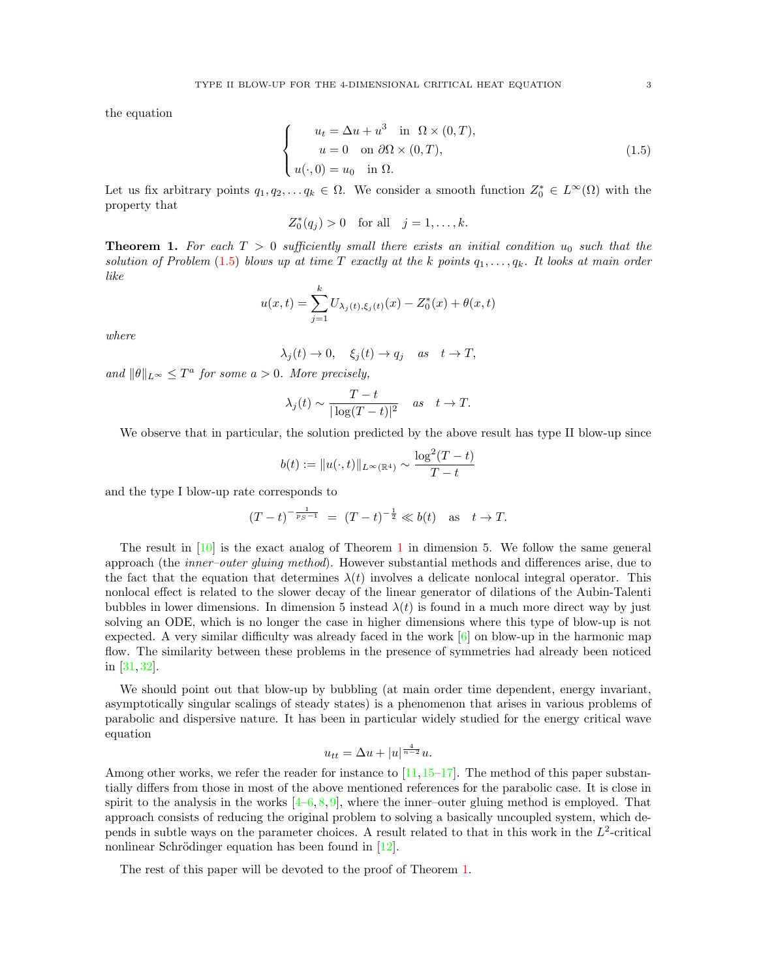the equation

<span id="page-2-0"></span>
$$
\begin{cases}\n u_t = \Delta u + u^3 \quad \text{in} \quad \Omega \times (0, T), \\
 u = 0 \quad \text{on} \quad \partial \Omega \times (0, T), \\
 u(\cdot, 0) = u_0 \quad \text{in} \quad \Omega.\n\end{cases}
$$
\n(1.5)

Let us fix arbitrary points  $q_1, q_2, \ldots q_k \in \Omega$ . We consider a smooth function  $Z_0^* \in L^{\infty}(\Omega)$  with the property that

$$
Z_0^*(q_j) > 0
$$
 for all  $j = 1, ..., k$ .

<span id="page-2-1"></span>**Theorem 1.** For each  $T > 0$  sufficiently small there exists an initial condition  $u_0$  such that the solution of Problem [\(1](#page-2-0).5) blows up at time T exactly at the k points  $q_1, \ldots, q_k$ . It looks at main order like

$$
u(x,t) = \sum_{j=1}^{k} U_{\lambda_j(t),\xi_j(t)}(x) - Z_0^*(x) + \theta(x,t)
$$

where

$$
\lambda_j(t) \to 0, \quad \xi_j(t) \to q_j \quad as \quad t \to T,
$$

and  $\|\theta\|_{L^{\infty}} \leq T^a$  for some  $a > 0$ . More precisely,

$$
\lambda_j(t) \sim \frac{T-t}{|\log(T-t)|^2}
$$
 as  $t \to T$ .

We observe that in particular, the solution predicted by the above result has type II blow-up since

$$
b(t) := \|u(\cdot, t)\|_{L^{\infty}(\mathbb{R}^4)} \sim \frac{\log^2(T - t)}{T - t}
$$

and the type I blow-up rate corresponds to

$$
(T-t)^{-\frac{1}{p_S-1}} = (T-t)^{-\frac{1}{2}} \ll b(t) \text{ as } t \to T.
$$

The result in [\[10\]](#page-24-15) is the exact analog of Theorem [1](#page-2-1) in dimension 5. We follow the same general approach (the inner–outer gluing method). However substantial methods and differences arise, due to the fact that the equation that determines  $\lambda(t)$  involves a delicate nonlocal integral operator. This nonlocal effect is related to the slower decay of the linear generator of dilations of the Aubin-Talenti bubbles in lower dimensions. In dimension 5 instead  $\lambda(t)$  is found in a much more direct way by just solving an ODE, which is no longer the case in higher dimensions where this type of blow-up is not expected. A very similar difficulty was already faced in the work  $\lceil 6 \rceil$  on blow-up in the harmonic map flow. The similarity between these problems in the presence of symmetries had already been noticed in [\[31,](#page-24-17) [32\]](#page-24-14).

We should point out that blow-up by bubbling (at main order time dependent, energy invariant, asymptotically singular scalings of steady states) is a phenomenon that arises in various problems of parabolic and dispersive nature. It has been in particular widely studied for the energy critical wave equation

$$
u_{tt} = \Delta u + |u|^{\frac{4}{n-2}}u.
$$

Among other works, we refer the reader for instance to  $[11,15-17]$  $[11,15-17]$ . The method of this paper substantially differs from those in most of the above mentioned references for the parabolic case. It is close in spirit to the analysis in the works  $[4-6, 8, 9]$  $[4-6, 8, 9]$  $[4-6, 8, 9]$  $[4-6, 8, 9]$  $[4-6, 8, 9]$  $[4-6, 8, 9]$ , where the inner-outer gluing method is employed. That approach consists of reducing the original problem to solving a basically uncoupled system, which depends in subtle ways on the parameter choices. A result related to that in this work in the  $L^2$ -critical nonlinear Schrödinger equation has been found in  $[12]$ .

The rest of this paper will be devoted to the proof of Theorem [1.](#page-2-1)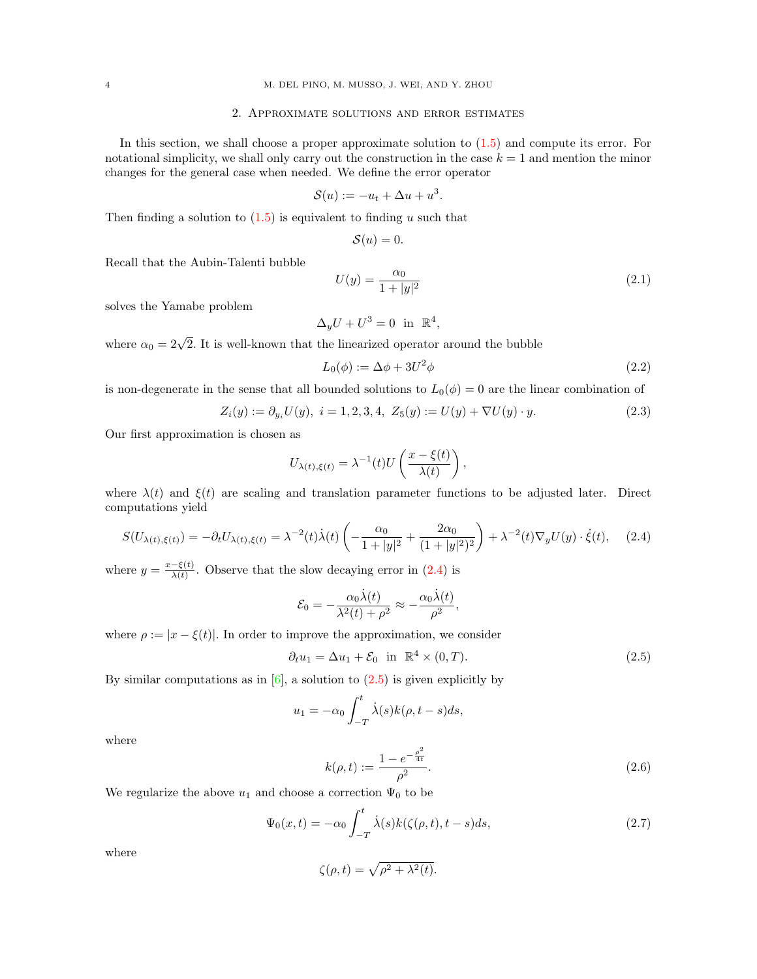### 2. Approximate solutions and error estimates

In this section, we shall choose a proper approximate solution to [\(1.5\)](#page-2-0) and compute its error. For notational simplicity, we shall only carry out the construction in the case  $k = 1$  and mention the minor changes for the general case when needed. We define the error operator

$$
\mathcal{S}(u) := -u_t + \Delta u + u^3
$$

Then finding a solution to  $(1.5)$  is equivalent to finding u such that

$$
\mathcal{S}(u)=0.
$$

Recall that the Aubin-Talenti bubble

<span id="page-3-6"></span>
$$
U(y) = \frac{\alpha_0}{1 + |y|^2} \tag{2.1}
$$

solves the Yamabe problem

$$
\Delta_y U + U^3 = 0 \text{ in } \mathbb{R}^4,
$$

where  $\alpha_0 = 2\sqrt{2}$ . It is well-known that the linearized operator around the bubble

<span id="page-3-4"></span>
$$
L_0(\phi) := \Delta \phi + 3U^2 \phi \tag{2.2}
$$

is non-degenerate in the sense that all bounded solutions to  $L_0(\phi) = 0$  are the linear combination of

<span id="page-3-3"></span>
$$
Z_i(y) := \partial_{y_i} U(y), \ i = 1, 2, 3, 4, \ Z_5(y) := U(y) + \nabla U(y) \cdot y. \tag{2.3}
$$

.

Our first approximation is chosen as

$$
U_{\lambda(t),\xi(t)} = \lambda^{-1}(t)U\left(\frac{x-\xi(t)}{\lambda(t)}\right),\,
$$

where  $\lambda(t)$  and  $\xi(t)$  are scaling and translation parameter functions to be adjusted later. Direct computations yield

<span id="page-3-0"></span>
$$
S(U_{\lambda(t),\xi(t)}) = -\partial_t U_{\lambda(t),\xi(t)} = \lambda^{-2}(t)\dot{\lambda}(t) \left( -\frac{\alpha_0}{1+|y|^2} + \frac{2\alpha_0}{(1+|y|^2)^2} \right) + \lambda^{-2}(t)\nabla_y U(y) \cdot \dot{\xi}(t), \quad (2.4)
$$

where  $y = \frac{x-\xi(t)}{\lambda(t)}$  $\frac{-\xi(t)}{\lambda(t)}$ . Observe that the slow decaying error in  $(2.4)$  is

$$
\mathcal{E}_0 = -\frac{\alpha_0 \dot{\lambda}(t)}{\lambda^2(t) + \rho^2} \approx -\frac{\alpha_0 \dot{\lambda}(t)}{\rho^2},
$$

where  $\rho := |x - \xi(t)|$ . In order to improve the approximation, we consider

<span id="page-3-1"></span>
$$
\partial_t u_1 = \Delta u_1 + \mathcal{E}_0 \quad \text{in} \quad \mathbb{R}^4 \times (0, T). \tag{2.5}
$$

By similar computations as in  $[6]$ , a solution to  $(2.5)$  is given explicitly by

$$
u_1 = -\alpha_0 \int_{-T}^t \dot{\lambda}(s)k(\rho, t - s)ds,
$$

where

<span id="page-3-2"></span>
$$
k(\rho, t) := \frac{1 - e^{-\frac{\rho^2}{4t}}}{\rho^2}.
$$
\n(2.6)

We regularize the above  $u_1$  and choose a correction  $\Psi_0$  to be

<span id="page-3-5"></span>
$$
\Psi_0(x,t) = -\alpha_0 \int_{-T}^t \dot{\lambda}(s)k(\zeta(\rho,t),t-s)ds,
$$
\n(2.7)

where

$$
\zeta(\rho, t) = \sqrt{\rho^2 + \lambda^2(t)}.
$$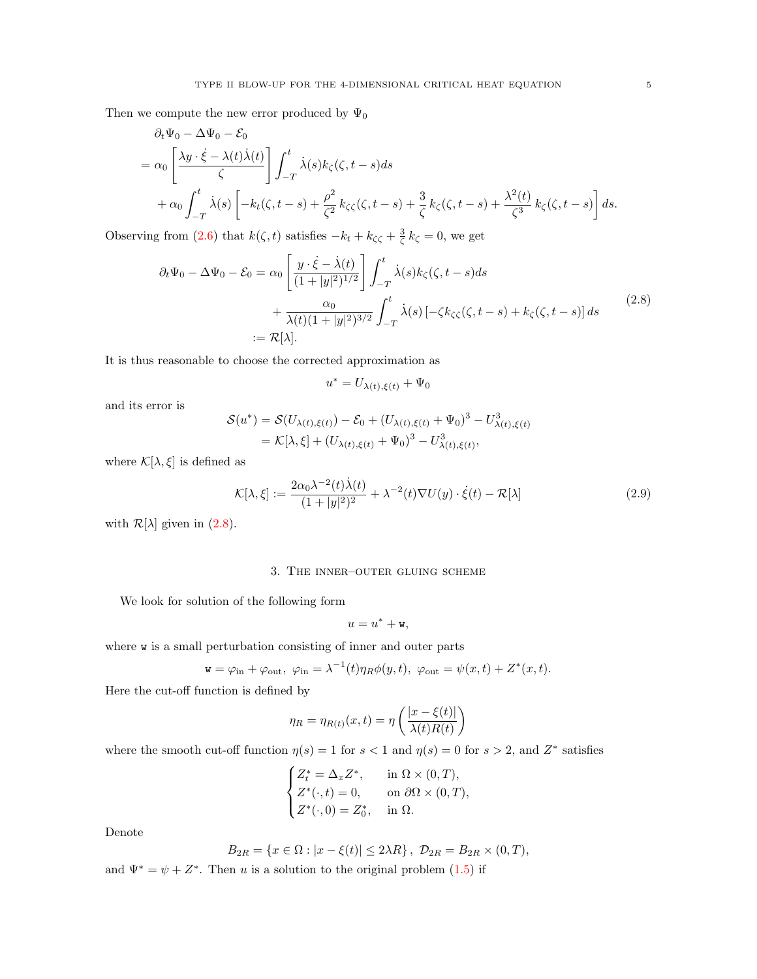Then we compute the new error produced by  $\Psi_0$ 

$$
\partial_t \Psi_0 - \Delta \Psi_0 - \mathcal{E}_0
$$
\n
$$
= \alpha_0 \left[ \frac{\lambda y \cdot \dot{\xi} - \lambda(t) \dot{\lambda}(t)}{\zeta} \right] \int_{-T}^t \dot{\lambda}(s) k_{\zeta}(\zeta, t - s) ds
$$
\n
$$
+ \alpha_0 \int_{-T}^t \dot{\lambda}(s) \left[ -k_t(\zeta, t - s) + \frac{\rho^2}{\zeta^2} k_{\zeta}(\zeta, t - s) + \frac{3}{\zeta} k_{\zeta}(\zeta, t - s) + \frac{\lambda^2(t)}{\zeta^3} k_{\zeta}(\zeta, t - s) \right] ds.
$$

Observing from [\(2.6\)](#page-3-2) that  $k(\zeta, t)$  satisfies  $-k_t + k_{\zeta\zeta} + \frac{3}{\zeta} k_{\zeta} = 0$ , we get

<span id="page-4-0"></span>
$$
\partial_t \Psi_0 - \Delta \Psi_0 - \mathcal{E}_0 = \alpha_0 \left[ \frac{y \cdot \dot{\xi} - \dot{\lambda}(t)}{(1+|y|^2)^{1/2}} \right] \int_{-T}^t \dot{\lambda}(s) k_{\zeta}(\zeta, t-s) ds \n+ \frac{\alpha_0}{\lambda(t)(1+|y|^2)^{3/2}} \int_{-T}^t \dot{\lambda}(s) \left[ -\zeta k_{\zeta\zeta}(\zeta, t-s) + k_{\zeta}(\zeta, t-s) \right] ds
$$
\n(2.8)\n
$$
:= \mathcal{R}[\lambda].
$$

It is thus reasonable to choose the corrected approximation as

$$
u^* = U_{\lambda(t),\xi(t)} + \Psi_0
$$

and its error is

$$
\mathcal{S}(u^*) = \mathcal{S}(U_{\lambda(t),\xi(t)}) - \mathcal{E}_0 + (U_{\lambda(t),\xi(t)} + \Psi_0)^3 - U_{\lambda(t),\xi(t)}^3
$$
  
=  $\mathcal{K}[\lambda,\xi] + (U_{\lambda(t),\xi(t)} + \Psi_0)^3 - U_{\lambda(t),\xi(t)}^3$ ,

where  $\mathcal{K}[\lambda,\xi]$  is defined as

<span id="page-4-1"></span>
$$
\mathcal{K}[\lambda,\xi] := \frac{2\alpha_0 \lambda^{-2}(t)\dot{\lambda}(t)}{(1+|y|^2)^2} + \lambda^{-2}(t)\nabla U(y) \cdot \dot{\xi}(t) - \mathcal{R}[\lambda]
$$
\n(2.9)

with  $\mathcal{R}[\lambda]$  given in [\(2.8\)](#page-4-0).

### 3. The inner–outer gluing scheme

<span id="page-4-2"></span>We look for solution of the following form

$$
u=u^*+\mathtt{w},
$$

where w is a small perturbation consisting of inner and outer parts

$$
\mathbf{w} = \varphi_{\text{in}} + \varphi_{\text{out}}, \ \varphi_{\text{in}} = \lambda^{-1}(t)\eta_R\phi(y, t), \ \varphi_{\text{out}} = \psi(x, t) + Z^*(x, t).
$$

Here the cut-off function is defined by

$$
\eta_R = \eta_{R(t)}(x, t) = \eta \left( \frac{|x - \xi(t)|}{\lambda(t)R(t)} \right)
$$

where the smooth cut-off function  $\eta(s) = 1$  for  $s < 1$  and  $\eta(s) = 0$  for  $s > 2$ , and  $Z^*$  satisfies

$$
\begin{cases} Z_t^* = \Delta_x Z^*, & \text{in } \Omega \times (0, T), \\ Z^*(\cdot, t) = 0, & \text{on } \partial \Omega \times (0, T), \\ Z^*(\cdot, 0) = Z_0^*, & \text{in } \Omega. \end{cases}
$$

Denote

$$
B_{2R} = \{x \in \Omega : |x - \xi(t)| \le 2\lambda R\}, \ \mathcal{D}_{2R} = B_{2R} \times (0, T),
$$

and  $\Psi^* = \psi + Z^*$ . Then u is a solution to the original problem  $(1.5)$  if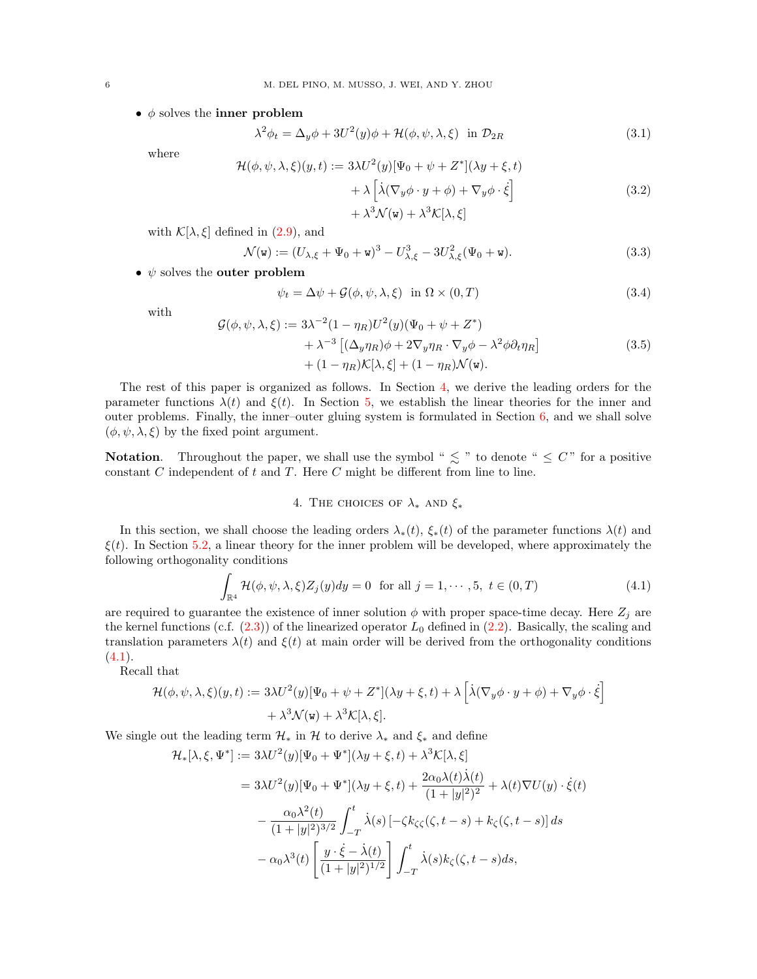•  $\phi$  solves the inner problem

<span id="page-5-3"></span>
$$
\lambda^2 \phi_t = \Delta_y \phi + 3U^2(y)\phi + \mathcal{H}(\phi, \psi, \lambda, \xi) \text{ in } \mathcal{D}_{2R}
$$
 (3.1)

where

<span id="page-5-6"></span>
$$
\mathcal{H}(\phi, \psi, \lambda, \xi)(y, t) := 3\lambda U^2(y)[\Psi_0 + \psi + Z^*](\lambda y + \xi, t) \n+ \lambda \left[ \lambda (\nabla_y \phi \cdot y + \phi) + \nabla_y \phi \cdot \dot{\xi} \right] \n+ \lambda^3 \mathcal{N}(\mathbf{w}) + \lambda^3 \mathcal{K}[\lambda, \xi]
$$
\n(3.2)

with  $\mathcal{K}[\lambda,\xi]$  defined in [\(2.9\)](#page-4-1), and

<span id="page-5-4"></span>
$$
\mathcal{N}(\mathbf{w}) := (U_{\lambda,\xi} + \Psi_0 + \mathbf{w})^3 - U_{\lambda,\xi}^3 - 3U_{\lambda,\xi}^2(\Psi_0 + \mathbf{w}).
$$
\n(3.3)

•  $\psi$  solves the outer problem

<span id="page-5-2"></span>
$$
\psi_t = \Delta \psi + \mathcal{G}(\phi, \psi, \lambda, \xi) \quad \text{in } \Omega \times (0, T) \tag{3.4}
$$

with

<span id="page-5-5"></span>
$$
\mathcal{G}(\phi, \psi, \lambda, \xi) := 3\lambda^{-2} (1 - \eta_R) U^2(y) (\Psi_0 + \psi + Z^*)
$$
  
+  $\lambda^{-3} [(\Delta_y \eta_R)\phi + 2\nabla_y \eta_R \cdot \nabla_y \phi - \lambda^2 \phi \partial_t \eta_R]$   
+  $(1 - \eta_R) \mathcal{K}[\lambda, \xi] + (1 - \eta_R) \mathcal{N}(\mathbf{w}).$  (3.5)

The rest of this paper is organized as follows. In Section [4,](#page-5-0) we derive the leading orders for the parameter functions  $\lambda(t)$  and  $\xi(t)$ . In Section [5,](#page-8-0) we establish the linear theories for the inner and outer problems. Finally, the inner–outer gluing system is formulated in Section [6,](#page-12-0) and we shall solve  $(\phi, \psi, \lambda, \xi)$  by the fixed point argument.

**Notation.** Throughout the paper, we shall use the symbol "  $\leq$  " to denote "  $\leq C$ " for a positive constant  $C$  independent of  $t$  and  $T$ . Here  $C$  might be different from line to line.

## 4. THE CHOICES OF  $\lambda_*$  AND  $\xi_*$

<span id="page-5-0"></span>In this section, we shall choose the leading orders  $\lambda_*(t)$ ,  $\xi_*(t)$  of the parameter functions  $\lambda(t)$  and  $\xi(t)$ . In Section [5.2,](#page-10-0) a linear theory for the inner problem will be developed, where approximately the following orthogonality conditions

<span id="page-5-1"></span>
$$
\int_{\mathbb{R}^4} \mathcal{H}(\phi, \psi, \lambda, \xi) Z_j(y) dy = 0 \text{ for all } j = 1, \cdots, 5, t \in (0, T)
$$
\n(4.1)

are required to guarantee the existence of inner solution  $\phi$  with proper space-time decay. Here  $Z_j$  are the kernel functions (c.f.  $(2.3)$ ) of the linearized operator  $L_0$  defined in  $(2.2)$ . Basically, the scaling and translation parameters  $\lambda(t)$  and  $\xi(t)$  at main order will be derived from the orthogonality conditions  $(4.1).$  $(4.1).$ 

Recall that

$$
\mathcal{H}(\phi, \psi, \lambda, \xi)(y, t) := 3\lambda U^2(y)[\Psi_0 + \psi + Z^*](\lambda y + \xi, t) + \lambda \left[ \lambda(\nabla_y \phi \cdot y + \phi) + \nabla_y \phi \cdot \dot{\xi} \right] + \lambda^3 \mathcal{N}(\mathbf{w}) + \lambda^3 \mathcal{K}[\lambda, \xi].
$$

We single out the leading term  $\mathcal{H}_*$  in  $\mathcal{H}$  to derive  $\lambda_*$  and  $\xi_*$  and define

$$
\mathcal{H}_{*}[\lambda,\xi,\Psi^{*}] := 3\lambda U^{2}(y)[\Psi_{0} + \Psi^{*}](\lambda y + \xi, t) + \lambda^{3} \mathcal{K}[\lambda,\xi]
$$
  
\n
$$
= 3\lambda U^{2}(y)[\Psi_{0} + \Psi^{*}](\lambda y + \xi, t) + \frac{2\alpha_{0}\lambda(t)\dot{\lambda}(t)}{(1+|y|^{2})^{2}} + \lambda(t)\nabla U(y) \cdot \dot{\xi}(t)
$$
  
\n
$$
- \frac{\alpha_{0}\lambda^{2}(t)}{(1+|y|^{2})^{3/2}} \int_{-T}^{t} \dot{\lambda}(s) \left[ -\zeta k_{\zeta\zeta}(\zeta, t-s) + k_{\zeta}(\zeta, t-s) \right] ds
$$
  
\n
$$
- \alpha_{0}\lambda^{3}(t) \left[ \frac{y \cdot \dot{\xi} - \dot{\lambda}(t)}{(1+|y|^{2})^{1/2}} \right] \int_{-T}^{t} \dot{\lambda}(s)k_{\zeta}(\zeta, t-s)ds,
$$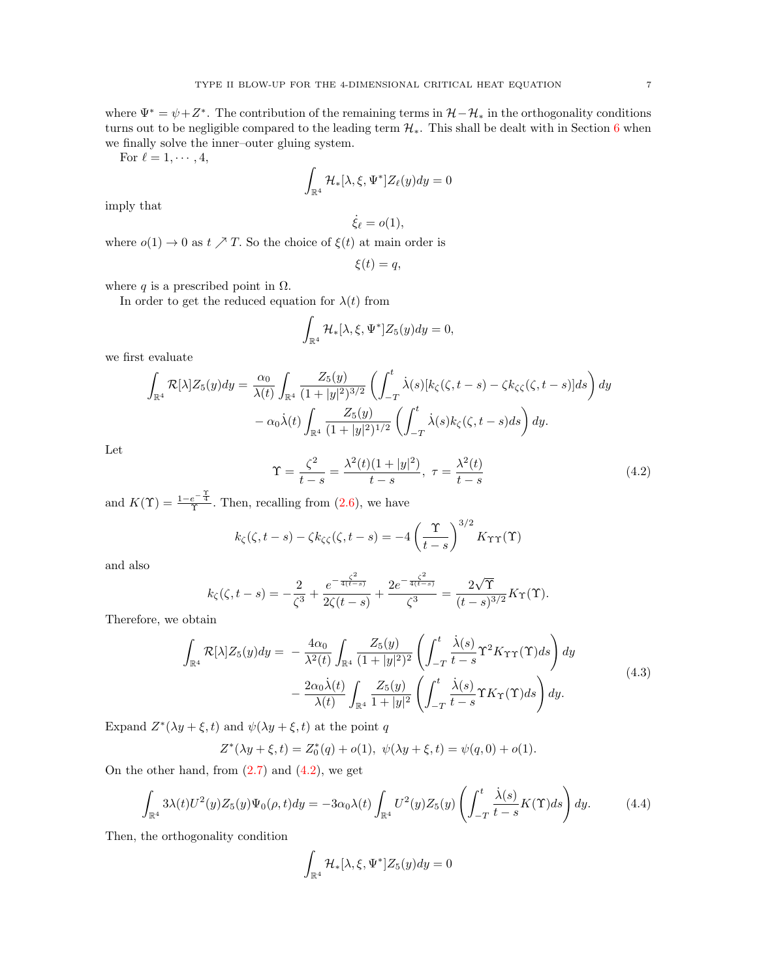where  $\Psi^* = \psi + Z^*$ . The contribution of the remaining terms in  $\mathcal{H} - \mathcal{H}_*$  in the orthogonality conditions turns out to be negligible compared to the leading term  $\mathcal{H}_*$ . This shall be dealt with in Section [6](#page-12-0) when we finally solve the inner–outer gluing system.

For  $\ell = 1, \cdots, 4$ ,

$$
\int_{\mathbb{R}^4} \mathcal{H}_*[\lambda,\xi,\Psi^*]Z_{\ell}(y)dy=0
$$

imply that

$$
\dot{\xi}_{\ell}=o(1),
$$

where  $o(1) \rightarrow 0$  as  $t \nearrow T$ . So the choice of  $\xi(t)$  at main order is

$$
\xi(t) = q,
$$

where q is a prescribed point in  $\Omega$ .

In order to get the reduced equation for  $\lambda(t)$  from

$$
\int_{\mathbb{R}^4} \mathcal{H}_*[\lambda, \xi, \Psi^*] Z_5(y) dy = 0,
$$

we first evaluate

$$
\int_{\mathbb{R}^4} \mathcal{R}[\lambda] Z_5(y) dy = \frac{\alpha_0}{\lambda(t)} \int_{\mathbb{R}^4} \frac{Z_5(y)}{(1+|y|^2)^{3/2}} \left( \int_{-T}^t \dot{\lambda}(s) [k_\zeta(\zeta, t-s) - \zeta k_\zeta(\zeta, t-s)] ds \right) dy \n- \alpha_0 \dot{\lambda}(t) \int_{\mathbb{R}^4} \frac{Z_5(y)}{(1+|y|^2)^{1/2}} \left( \int_{-T}^t \dot{\lambda}(s) k_\zeta(\zeta, t-s) ds \right) dy.
$$

Let

<span id="page-6-0"></span>
$$
\Upsilon = \frac{\zeta^2}{t - s} = \frac{\lambda^2(t)(1 + |y|^2)}{t - s}, \ \tau = \frac{\lambda^2(t)}{t - s}
$$
(4.2)

and  $K(\Upsilon) = \frac{1-e^{-\frac{\Upsilon}{4}}}{\Upsilon}$ . Then, recalling from [\(2.6\)](#page-3-2), we have

$$
k_{\zeta}(\zeta, t-s) - \zeta k_{\zeta\zeta}(\zeta, t-s) = -4\left(\frac{\Upsilon}{t-s}\right)^{3/2} K_{\Upsilon\Upsilon}(\Upsilon)
$$

and also

$$
k_{\zeta}(\zeta, t-s) = -\frac{2}{\zeta^3} + \frac{e^{-\frac{\zeta^2}{4(t-s)}}}{2\zeta(t-s)} + \frac{2e^{-\frac{\zeta^2}{4(t-s)}}}{\zeta^3} = \frac{2\sqrt{\Upsilon}}{(t-s)^{3/2}}K_{\Upsilon}(\Upsilon).
$$

Therefore, we obtain

<span id="page-6-1"></span>
$$
\int_{\mathbb{R}^4} \mathcal{R}[\lambda] Z_5(y) dy = -\frac{4\alpha_0}{\lambda^2(t)} \int_{\mathbb{R}^4} \frac{Z_5(y)}{(1+|y|^2)^2} \left( \int_{-T}^t \frac{\dot{\lambda}(s)}{t-s} \Upsilon^2 K_{\Upsilon \Upsilon}(\Upsilon) ds \right) dy \n- \frac{2\alpha_0 \dot{\lambda}(t)}{\lambda(t)} \int_{\mathbb{R}^4} \frac{Z_5(y)}{1+|y|^2} \left( \int_{-T}^t \frac{\dot{\lambda}(s)}{t-s} \Upsilon K_{\Upsilon}(\Upsilon) ds \right) dy.
$$
\n(4.3)

Expand  $Z^*(\lambda y + \xi, t)$  and  $\psi(\lambda y + \xi, t)$  at the point q

$$
Z^*(\lambda y + \xi, t) = Z_0^*(q) + o(1), \ \psi(\lambda y + \xi, t) = \psi(q, 0) + o(1).
$$

On the other hand, from  $(2.7)$  and  $(4.2)$ , we get

<span id="page-6-2"></span>
$$
\int_{\mathbb{R}^4} 3\lambda(t)U^2(y)Z_5(y)\Psi_0(\rho,t)dy = -3\alpha_0\lambda(t)\int_{\mathbb{R}^4} U^2(y)Z_5(y)\left(\int_{-T}^t \frac{\dot{\lambda}(s)}{t-s}K(\Upsilon)ds\right)dy.
$$
 (4.4)

Then, the orthogonality condition

$$
\int_{\mathbb{R}^4} \mathcal{H}_*[\lambda, \xi, \Psi^*] Z_5(y) dy = 0
$$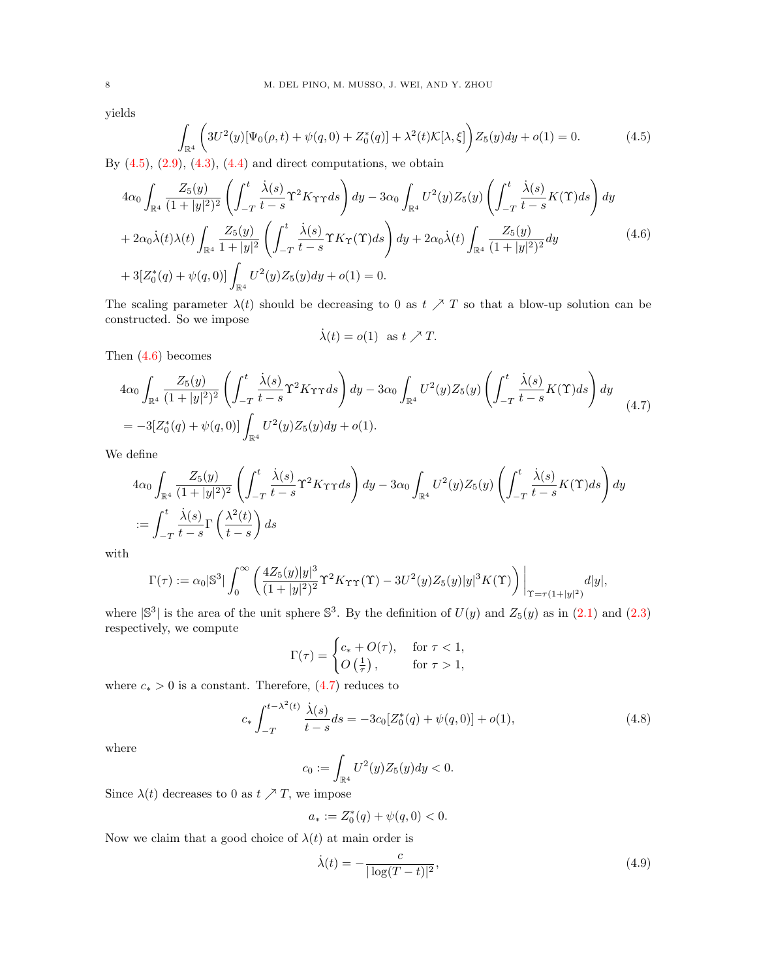yields

<span id="page-7-0"></span>
$$
\int_{\mathbb{R}^4} \left( 3U^2(y)[\Psi_0(\rho, t) + \psi(q, 0) + Z_0^*(q)] + \lambda^2(t)\mathcal{K}[\lambda, \xi] \right) Z_5(y) dy + o(1) = 0.
$$
\n(4.5)

By  $(4.5)$ ,  $(2.9)$ ,  $(4.3)$ ,  $(4.4)$  and direct computations, we obtain

<span id="page-7-1"></span>
$$
4\alpha_0 \int_{\mathbb{R}^4} \frac{Z_5(y)}{(1+|y|^2)^2} \left( \int_{-T}^t \frac{\dot{\lambda}(s)}{t-s} \Upsilon^2 K_{\Upsilon \Upsilon} ds \right) dy - 3\alpha_0 \int_{\mathbb{R}^4} U^2(y) Z_5(y) \left( \int_{-T}^t \frac{\dot{\lambda}(s)}{t-s} K(\Upsilon) ds \right) dy + 2\alpha_0 \dot{\lambda}(t) \lambda(t) \int_{\mathbb{R}^4} \frac{Z_5(y)}{1+|y|^2} \left( \int_{-T}^t \frac{\dot{\lambda}(s)}{t-s} \Upsilon K_{\Upsilon}(\Upsilon) ds \right) dy + 2\alpha_0 \dot{\lambda}(t) \int_{\mathbb{R}^4} \frac{Z_5(y)}{(1+|y|^2)^2} dy + 3[Z_0^*(q) + \psi(q,0)] \int_{\mathbb{R}^4} U^2(y) Z_5(y) dy + o(1) = 0.
$$
\n(4.6)

The scaling parameter  $\lambda(t)$  should be decreasing to 0 as  $t \nearrow T$  so that a blow-up solution can be constructed. So we impose

$$
\dot{\lambda}(t) = o(1) \text{ as } t \nearrow T.
$$

Then [\(4.6\)](#page-7-1) becomes

<span id="page-7-2"></span>
$$
4\alpha_0 \int_{\mathbb{R}^4} \frac{Z_5(y)}{(1+|y|^2)^2} \left( \int_{-T}^t \frac{\dot{\lambda}(s)}{t-s} \Upsilon^2 K_{\Upsilon \Upsilon} ds \right) dy - 3\alpha_0 \int_{\mathbb{R}^4} U^2(y) Z_5(y) \left( \int_{-T}^t \frac{\dot{\lambda}(s)}{t-s} K(\Upsilon) ds \right) dy
$$
  
=  $-3[Z_0^*(q) + \psi(q, 0)] \int_{\mathbb{R}^4} U^2(y) Z_5(y) dy + o(1).$  (4.7)

We define

$$
4\alpha_0 \int_{\mathbb{R}^4} \frac{Z_5(y)}{(1+|y|^2)^2} \left( \int_{-T}^t \frac{\dot{\lambda}(s)}{t-s} \Upsilon^2 K_{\Upsilon \Upsilon} ds \right) dy - 3\alpha_0 \int_{\mathbb{R}^4} U^2(y) Z_5(y) \left( \int_{-T}^t \frac{\dot{\lambda}(s)}{t-s} K(\Upsilon) ds \right) dy
$$
  
:= 
$$
\int_{-T}^t \frac{\dot{\lambda}(s)}{t-s} \Gamma\left(\frac{\lambda^2(t)}{t-s}\right) ds
$$

with

$$
\Gamma(\tau) := \alpha_0 |{\mathbb S}^3| \int_0^\infty \left( \frac{4Z_5(y)|y|^3}{(1+|y|^2)^2} \Upsilon^2 K_{\Upsilon\Upsilon}(\Upsilon) - 3U^2(y)Z_5(y)|y|^3 K(\Upsilon) \right) \Big|_{\Upsilon = \tau(1+|y|^2)} d|y|,
$$

where  $\mathbb{S}^3$  is the area of the unit sphere  $\mathbb{S}^3$ . By the definition of  $U(y)$  and  $Z_5(y)$  as in  $(2.1)$  and  $(2.3)$ respectively, we compute

$$
\Gamma(\tau) = \begin{cases} c_* + O(\tau), & \text{for } \tau < 1, \\ O\left(\frac{1}{\tau}\right), & \text{for } \tau > 1, \end{cases}
$$

where  $c_* > 0$  is a constant. Therefore,  $(4.7)$  reduces to

<span id="page-7-4"></span>
$$
c_* \int_{-T}^{t - \lambda^2(t)} \frac{\dot{\lambda}(s)}{t - s} ds = -3c_0 [Z_0^*(q) + \psi(q, 0)] + o(1), \tag{4.8}
$$

where

$$
c_0 := \int_{\mathbb{R}^4} U^2(y) Z_5(y) dy < 0.
$$

Since  $\lambda(t)$  decreases to 0 as  $t \nearrow T$ , we impose

$$
a_* := Z_0^*(q) + \psi(q, 0) < 0.
$$

Now we claim that a good choice of  $\lambda(t)$  at main order is

<span id="page-7-3"></span>
$$
\dot{\lambda}(t) = -\frac{c}{|\log(T - t)|^2},\tag{4.9}
$$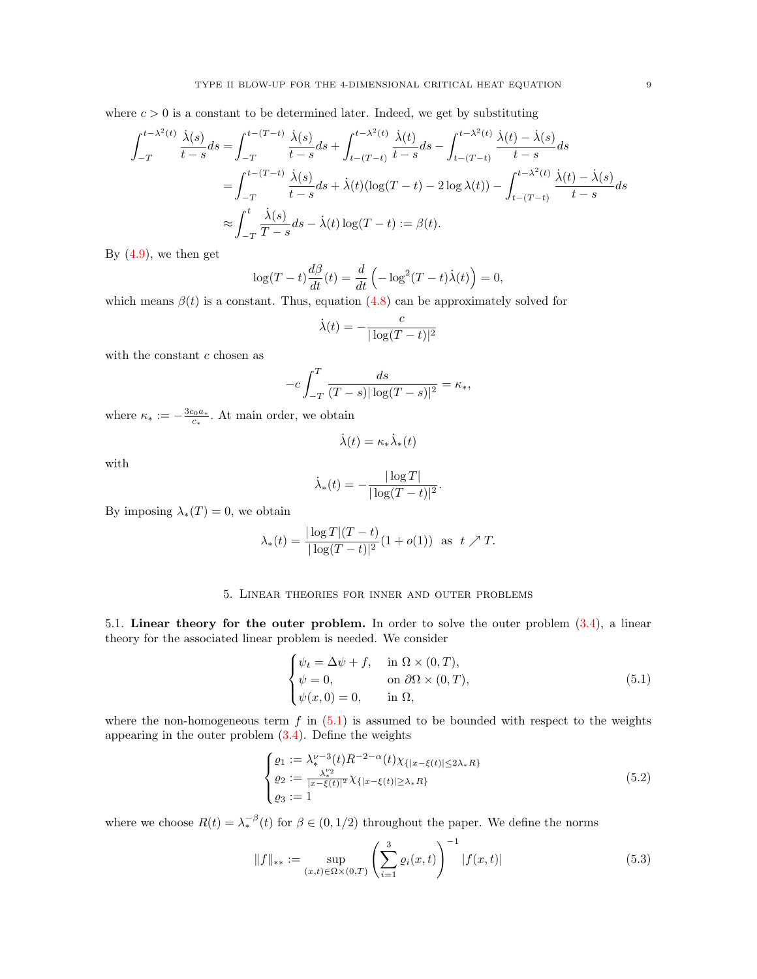where  $c > 0$  is a constant to be determined later. Indeed, we get by substituting

$$
\int_{-T}^{t-\lambda^2(t)} \frac{\dot{\lambda}(s)}{t-s} ds = \int_{-T}^{t-(T-t)} \frac{\dot{\lambda}(s)}{t-s} ds + \int_{t-(T-t)}^{t-\lambda^2(t)} \frac{\dot{\lambda}(t)}{t-s} ds - \int_{t-(T-t)}^{t-\lambda^2(t)} \frac{\dot{\lambda}(t) - \dot{\lambda}(s)}{t-s} ds
$$
  

$$
= \int_{-T}^{t-(T-t)} \frac{\dot{\lambda}(s)}{t-s} ds + \dot{\lambda}(t) (\log(T-t) - 2 \log \lambda(t)) - \int_{t-(T-t)}^{t-\lambda^2(t)} \frac{\dot{\lambda}(t) - \dot{\lambda}(s)}{t-s} ds
$$
  

$$
\approx \int_{-T}^{t} \frac{\dot{\lambda}(s)}{T-s} ds - \dot{\lambda}(t) \log(T-t) := \beta(t).
$$

By  $(4.9)$ , we then get

$$
\log(T-t)\frac{d\beta}{dt}(t) = \frac{d}{dt}\left(-\log^2(T-t)\dot{\lambda}(t)\right) = 0,
$$

which means  $\beta(t)$  is a constant. Thus, equation [\(4.8\)](#page-7-4) can be approximately solved for

$$
\dot{\lambda}(t) = -\frac{c}{|\log(T - t)|^2}
$$

with the constant  $c$  chosen as

$$
-c\int_{-T}^{T} \frac{ds}{(T-s)|\log(T-s)|^2} = \kappa_*,
$$

where  $\kappa_* := -\frac{3c_0a_*}{c_*}$ . At main order, we obtain

$$
\dot{\lambda}(t) = \kappa_* \dot{\lambda}_*(t)
$$

with

$$
\dot{\lambda}_*(t) = -\frac{|\log T|}{|\log(T-t)|^2}.
$$

By imposing  $\lambda_*(T) = 0$ , we obtain

$$
\lambda_*(t) = \frac{|\log T|(T-t)}{|\log(T-t)|^2} (1+o(1)) \text{ as } t \nearrow T.
$$

#### 5. Linear theories for inner and outer problems

<span id="page-8-0"></span>5.1. Linear theory for the outer problem. In order to solve the outer problem  $(3.4)$ , a linear theory for the associated linear problem is needed. We consider

<span id="page-8-1"></span>
$$
\begin{cases}\n\psi_t = \Delta \psi + f, & \text{in } \Omega \times (0, T), \\
\psi = 0, & \text{on } \partial \Omega \times (0, T), \\
\psi(x, 0) = 0, & \text{in } \Omega,\n\end{cases}
$$
\n(5.1)

where the non-homogeneous term  $f$  in  $(5.1)$  is assumed to be bounded with respect to the weights appearing in the outer problem [\(3.4\)](#page-5-2). Define the weights

<span id="page-8-3"></span>
$$
\begin{cases}\n\varrho_1 := \lambda_*^{\nu-3}(t) R^{-2-\alpha}(t) \chi_{\{|x-\xi(t)| \le 2\lambda_* R\}} \\
\varrho_2 := \frac{\lambda_*^{\nu_2}}{|x-\xi(t)|^2} \chi_{\{|x-\xi(t)| \ge \lambda_* R\}} \\
\varrho_3 := 1\n\end{cases} \tag{5.2}
$$

where we choose  $R(t) = \lambda_*^{-\beta}(t)$  for  $\beta \in (0, 1/2)$  throughout the paper. We define the norms

<span id="page-8-2"></span>
$$
||f||_{**} := \sup_{(x,t)\in\Omega\times(0,T)} \left(\sum_{i=1}^3 \varrho_i(x,t)\right)^{-1} |f(x,t)| \tag{5.3}
$$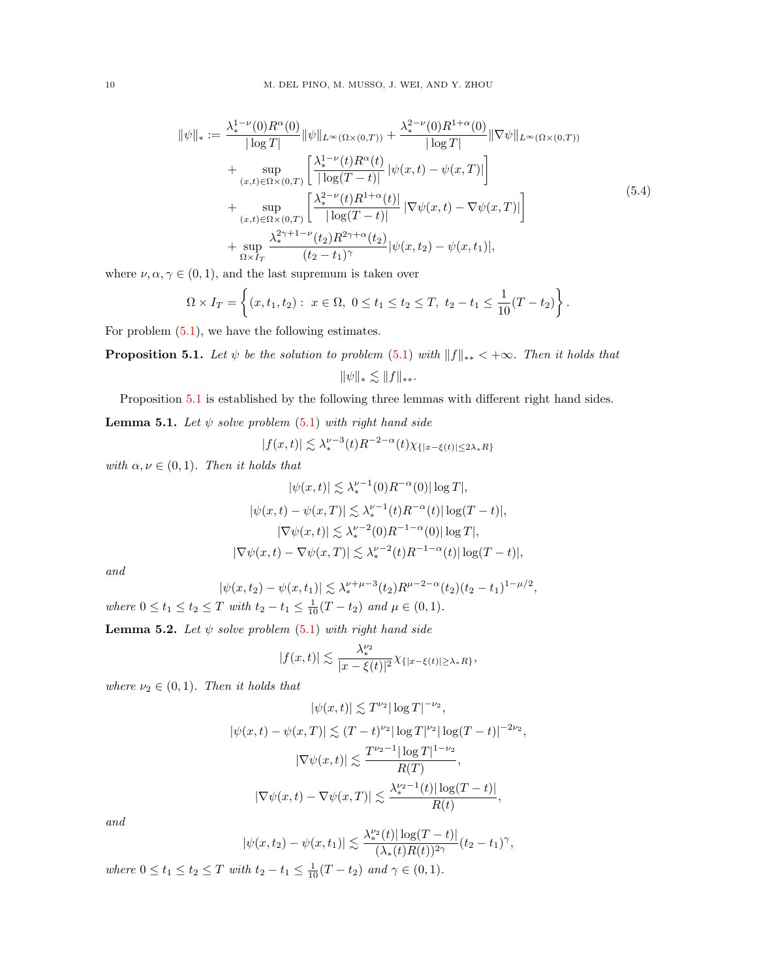<span id="page-9-3"></span>
$$
\|\psi\|_{*} := \frac{\lambda_{*}^{1-\nu}(0)R^{\alpha}(0)}{|\log T|} \|\psi\|_{L^{\infty}(\Omega\times(0,T))} + \frac{\lambda_{*}^{2-\nu}(0)R^{1+\alpha}(0)}{|\log T|} \|\nabla\psi\|_{L^{\infty}(\Omega\times(0,T))} \n+ \sup_{(x,t)\in\Omega\times(0,T)} \left[ \frac{\lambda_{*}^{1-\nu}(t)R^{\alpha}(t)}{|\log(T-t)|} |\psi(x,t) - \psi(x,T)| \right] \n+ \sup_{(x,t)\in\Omega\times(0,T)} \left[ \frac{\lambda_{*}^{2-\nu}(t)R^{1+\alpha}(t)}{|\log(T-t)|} |\nabla\psi(x,t) - \nabla\psi(x,T)| \right] \n+ \sup_{\Omega\times I_{T}} \frac{\lambda_{*}^{2\gamma+1-\nu}(t_{2})R^{2\gamma+\alpha}(t_{2})}{(t_{2}-t_{1})^{\gamma}} |\psi(x,t_{2}) - \psi(x,t_{1})|,
$$
\n(5.4)

where  $\nu, \alpha, \gamma \in (0, 1)$ , and the last supremum is taken over

$$
\Omega \times I_T = \left\{ (x, t_1, t_2) : \ x \in \Omega, \ 0 \le t_1 \le t_2 \le T, \ t_2 - t_1 \le \frac{1}{10}(T - t_2) \right\}.
$$

For problem [\(5.1\)](#page-8-1), we have the following estimates.

<span id="page-9-0"></span>**Proposition 5.1.** Let  $\psi$  be the solution to problem [\(5.1\)](#page-8-1) with  $||f||_{**} < +\infty$ . Then it holds that  $\|\psi\|_{*} \lesssim \|f\|_{**}.$ 

Proposition [5.1](#page-9-0) is established by the following three lemmas with different right hand sides.

<span id="page-9-1"></span>**Lemma 5.1.** Let  $\psi$  solve problem [\(5.1\)](#page-8-1) with right hand side

$$
|f(x,t)| \lesssim \lambda_*^{\nu-3}(t)R^{-2-\alpha}(t)\chi_{\{|x-\xi(t)|\le 2\lambda_* R\}}
$$

with  $\alpha, \nu \in (0, 1)$ . Then it holds that

$$
|\psi(x,t)| \lesssim \lambda_*^{\nu-1}(0)R^{-\alpha}(0)|\log T|,
$$
  
\n
$$
|\psi(x,t) - \psi(x,T)| \lesssim \lambda_*^{\nu-1}(t)R^{-\alpha}(t)|\log(T-t)|,
$$
  
\n
$$
|\nabla \psi(x,t)| \lesssim \lambda_*^{\nu-2}(0)R^{-1-\alpha}(0)|\log T|,
$$
  
\n
$$
|\nabla \psi(x,t) - \nabla \psi(x,T)| \lesssim \lambda_*^{\nu-2}(t)R^{-1-\alpha}(t)|\log(T-t)|,
$$

and

$$
|\psi(x,t_2) - \psi(x,t_1)| \lesssim \lambda_*^{\nu+\mu-3}(t_2) R^{\mu-2-\alpha}(t_2) (t_2 - t_1)^{1-\mu/2},
$$

where  $0 \le t_1 \le t_2 \le T$  with  $t_2 - t_1 \le \frac{1}{10}(T - t_2)$  and  $\mu \in (0, 1)$ .

<span id="page-9-2"></span>**Lemma 5.2.** Let  $\psi$  solve problem [\(5.1\)](#page-8-1) with right hand side

$$
|f(x,t)|\lesssim \frac{\lambda_*^{\nu_2}}{|x-\xi(t)|^2}\chi_{\{|x-\xi(t)|\geq \lambda_* R\}},
$$

where  $\nu_2 \in (0,1)$ . Then it holds that

$$
|\psi(x,t)| \lesssim T^{\nu_2} |\log T|^{-\nu_2},
$$
  

$$
|\psi(x,t) - \psi(x,T)| \lesssim (T-t)^{\nu_2} |\log T|^{\nu_2} |\log (T-t)|^{-2\nu_2},
$$
  

$$
|\nabla \psi(x,t)| \lesssim \frac{T^{\nu_2-1} |\log T|^{1-\nu_2}}{R(T)},
$$
  

$$
|\nabla \psi(x,t) - \nabla \psi(x,T)| \lesssim \frac{\lambda_*^{\nu_2-1}(t) |\log (T-t)|}{R(t)},
$$

and

$$
|\psi(x,t_2) - \psi(x,t_1)| \lesssim \frac{\lambda_*^{\nu_2}(t) |\log(T-t)|}{(\lambda_*(t)R(t))^{2\gamma}} (t_2 - t_1)^{\gamma},
$$

where  $0 \le t_1 \le t_2 \le T$  with  $t_2 - t_1 \le \frac{1}{10}(T - t_2)$  and  $\gamma \in (0, 1)$ .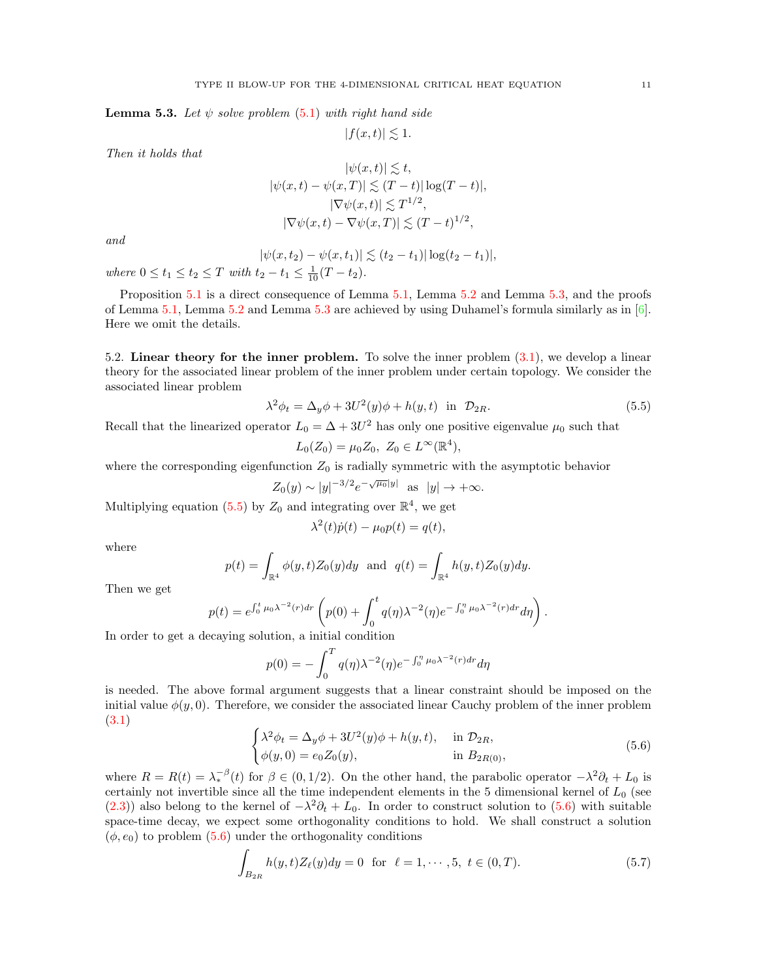<span id="page-10-1"></span>**Lemma 5.3.** Let  $\psi$  solve problem [\(5.1\)](#page-8-1) with right hand side

$$
|f(x,t)|\lesssim 1.
$$

Then it holds that

$$
|\psi(x,t)| \lesssim t,
$$
  
\n
$$
|\psi(x,t) - \psi(x,T)| \lesssim (T-t)| \log(T-t)|,
$$
  
\n
$$
|\nabla \psi(x,t)| \lesssim T^{1/2},
$$
  
\n
$$
|\nabla \psi(x,t) - \nabla \psi(x,T)| \lesssim (T-t)^{1/2},
$$

and

$$
|\psi(x,t_2) - \psi(x,t_1)| \lesssim (t_2 - t_1) |\log(t_2 - t_1)|,
$$

where  $0 \le t_1 \le t_2 \le T$  with  $t_2 - t_1 \le \frac{1}{10}(T - t_2)$ .

Proposition [5.1](#page-9-0) is a direct consequence of Lemma [5.1,](#page-9-1) Lemma [5.2](#page-9-2) and Lemma [5.3,](#page-10-1) and the proofs of Lemma [5.1,](#page-9-1) Lemma [5.2](#page-9-2) and Lemma [5.3](#page-10-1) are achieved by using Duhamel's formula similarly as in [\[6\]](#page-24-16). Here we omit the details.

<span id="page-10-0"></span>5.2. Linear theory for the inner problem. To solve the inner problem [\(3.1\)](#page-5-3), we develop a linear theory for the associated linear problem of the inner problem under certain topology. We consider the associated linear problem

<span id="page-10-2"></span>
$$
\lambda^2 \phi_t = \Delta_y \phi + 3U^2(y)\phi + h(y, t) \quad \text{in} \quad \mathcal{D}_{2R}.\tag{5.5}
$$

Recall that the linearized operator  $L_0 = \Delta + 3U^2$  has only one positive eigenvalue  $\mu_0$  such that

$$
L_0(Z_0) = \mu_0 Z_0, \ Z_0 \in L^{\infty}(\mathbb{R}^4),
$$

where the corresponding eigenfunction  $Z_0$  is radially symmetric with the asymptotic behavior

$$
Z_0(y) \sim |y|^{-3/2} e^{-\sqrt{\mu_0}|y|}
$$
 as  $|y| \to +\infty$ .

Multiplying equation [\(5.5\)](#page-10-2) by  $Z_0$  and integrating over  $\mathbb{R}^4$ , we get

$$
\lambda^{2}(t)\dot{p}(t) - \mu_{0}p(t) = q(t),
$$

where

$$
p(t) = \int_{\mathbb{R}^4} \phi(y, t) Z_0(y) dy
$$
 and  $q(t) = \int_{\mathbb{R}^4} h(y, t) Z_0(y) dy$ .

Then we get

$$
p(t) = e^{\int_0^t \mu_0 \lambda^{-2}(r) dr} \left( p(0) + \int_0^t q(\eta) \lambda^{-2}(\eta) e^{-\int_0^{\eta} \mu_0 \lambda^{-2}(r) dr} d\eta \right).
$$

In order to get a decaying solution, a initial condition

$$
p(0) = -\int_0^T q(\eta) \lambda^{-2}(\eta) e^{-\int_0^{\eta} \mu_0 \lambda^{-2}(r) dr} d\eta
$$

is needed. The above formal argument suggests that a linear constraint should be imposed on the initial value  $\phi(y, 0)$ . Therefore, we consider the associated linear Cauchy problem of the inner problem [\(3.1\)](#page-5-3)

<span id="page-10-3"></span>
$$
\begin{cases}\n\lambda^2 \phi_t = \Delta_y \phi + 3U^2(y)\phi + h(y, t), & \text{in } \mathcal{D}_{2R}, \\
\phi(y, 0) = e_0 Z_0(y), & \text{in } B_{2R(0)},\n\end{cases}
$$
\n(5.6)

where  $R = R(t) = \lambda_*^{-\beta}(t)$  for  $\beta \in (0, 1/2)$ . On the other hand, the parabolic operator  $-\lambda^2 \partial_t + L_0$  is certainly not invertible since all the time independent elements in the 5 dimensional kernel of  $L_0$  (see [\(2.3\)](#page-3-3)) also belong to the kernel of  $-\lambda^2 \partial_t + L_0$ . In order to construct solution to [\(5.6\)](#page-10-3) with suitable space-time decay, we expect some orthogonality conditions to hold. We shall construct a solution  $(\phi, e_0)$  to problem  $(5.6)$  under the orthogonality conditions

<span id="page-10-4"></span>
$$
\int_{B_{2R}} h(y,t)Z_{\ell}(y)dy = 0 \text{ for } \ell = 1, \cdots, 5, t \in (0,T). \tag{5.7}
$$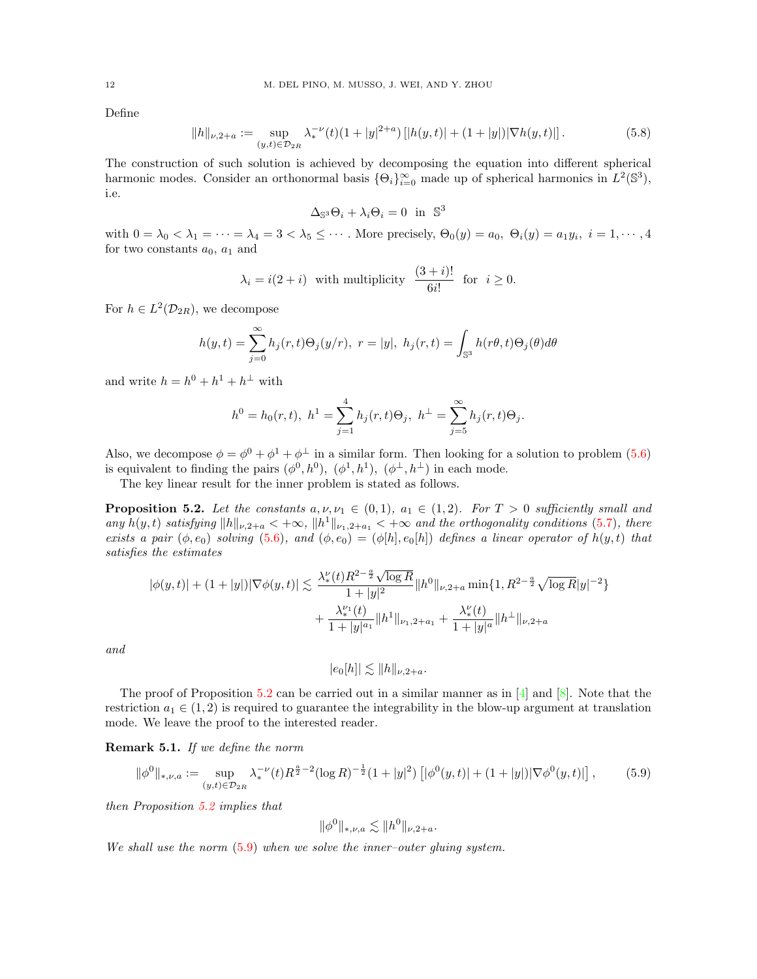Define

<span id="page-11-2"></span>
$$
||h||_{\nu,2+a} := \sup_{(y,t)\in\mathcal{D}_{2R}} \lambda_*^{-\nu}(t)(1+|y|^{2+a})\left[|h(y,t)| + (1+|y|)|\nabla h(y,t)|\right].\tag{5.8}
$$

The construction of such solution is achieved by decomposing the equation into different spherical harmonic modes. Consider an orthonormal basis  $\{\Theta_i\}_{i=0}^{\infty}$  made up of spherical harmonics in  $L^2(\mathbb{S}^3)$ , i.e.

 $\Delta_{\mathbb{S}^3} \Theta_i + \lambda_i \Theta_i = 0$  in  $\mathbb{S}^3$ 

with  $0 = \lambda_0 < \lambda_1 = \cdots = \lambda_4 = 3 < \lambda_5 \leq \cdots$ . More precisely,  $\Theta_0(y) = a_0, \ \Theta_i(y) = a_1 y_i, \ i = 1, \cdots, 4$ for two constants  $a_0$ ,  $a_1$  and

$$
\lambda_i = i(2+i)
$$
 with multiplicity  $\frac{(3+i)!}{6i!}$  for  $i \ge 0$ .

For  $h \in L^2(\mathcal{D}_{2R})$ , we decompose

$$
h(y,t) = \sum_{j=0}^{\infty} h_j(r,t)\Theta_j(y/r), \ r = |y|, \ h_j(r,t) = \int_{\mathbb{S}^3} h(r\theta,t)\Theta_j(\theta)d\theta
$$

and write  $h = h^0 + h^1 + h^{\perp}$  with

$$
h^{0} = h_{0}(r, t), \ h^{1} = \sum_{j=1}^{4} h_{j}(r, t) \Theta_{j}, \ h^{\perp} = \sum_{j=5}^{\infty} h_{j}(r, t) \Theta_{j}.
$$

Also, we decompose  $\phi = \phi^0 + \phi^1 + \phi^\perp$  in a similar form. Then looking for a solution to problem [\(5.6\)](#page-10-3) is equivalent to finding the pairs  $(\phi^0, h^0)$ ,  $(\phi^1, h^1)$ ,  $(\phi^{\perp}, h^{\perp})$  in each mode.

The key linear result for the inner problem is stated as follows.

<span id="page-11-0"></span>**Proposition 5.2.** Let the constants  $a, \nu, \nu_1 \in (0, 1)$ ,  $a_1 \in (1, 2)$ . For  $T > 0$  sufficiently small and any  $h(y, t)$  satisfying  $||h||_{\nu,2+a} < +\infty$ ,  $||h^1||_{\nu_1,2+a_1} < +\infty$  and the orthogonality conditions [\(5.7\)](#page-10-4), there exists a pair  $(\phi, e_0)$  solving  $(5.6)$ , and  $(\phi, e_0) = (\phi[h], e_0[h])$  defines a linear operator of  $h(y, t)$  that satisfies the estimates

$$
|\phi(y,t)| + (1+|y|)|\nabla\phi(y,t)| \lesssim \frac{\lambda_*^{\nu}(t)R^{2-\frac{a}{2}}\sqrt{\log R}}{1+|y|^2}\|h^0\|_{\nu,2+a} \min\{1,R^{2-\frac{a}{2}}\sqrt{\log R}|y|^{-2}\}\n+ \frac{\lambda_*^{\nu_1}(t)}{1+|y|^{a_1}}\|h^1\|_{\nu_1,2+a_1} + \frac{\lambda_*^{\nu}(t)}{1+|y|^a}\|h^{\perp}\|_{\nu,2+a_1}
$$

and

 $|e_0[h]| \lesssim ||h||_{\nu,2+a}$ .

The proof of Proposition [5.2](#page-11-0) can be carried out in a similar manner as in  $[4]$  and  $[8]$ . Note that the restriction  $a_1 \in (1, 2)$  is required to guarantee the integrability in the blow-up argument at translation mode. We leave the proof to the interested reader.

Remark 5.1. If we define the norm

<span id="page-11-1"></span>
$$
\|\phi^0\|_{*,\nu,a} := \sup_{(y,t)\in\mathcal{D}_{2R}} \lambda_*^{-\nu}(t) R^{\frac{a}{2}-2} (\log R)^{-\frac{1}{2}} (1+|y|^2) \left[ |\phi^0(y,t)| + (1+|y|) |\nabla \phi^0(y,t)| \right],\tag{5.9}
$$

then Proposition [5.2](#page-11-0) implies that

$$
\|\phi^0\|_{*,\nu,a} \lesssim \|h^0\|_{\nu,2+a}.
$$

We shall use the norm  $(5.9)$  when we solve the inner-outer gluing system.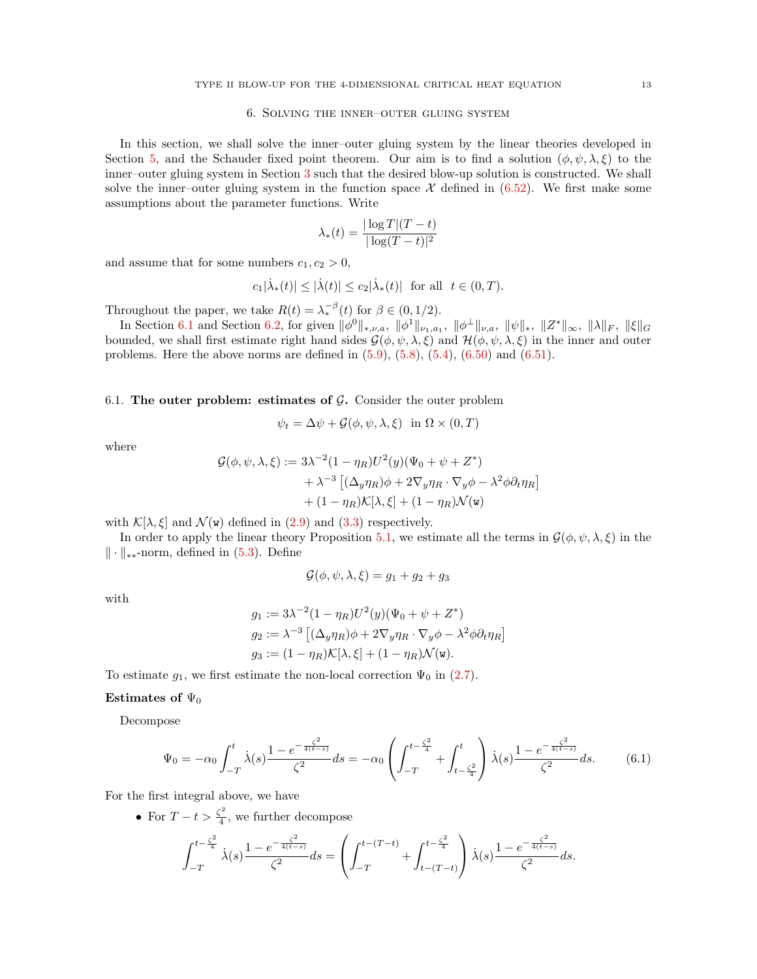### 6. Solving the inner–outer gluing system

<span id="page-12-0"></span>In this section, we shall solve the inner–outer gluing system by the linear theories developed in Section [5,](#page-8-0) and the Schauder fixed point theorem. Our aim is to find a solution  $(\phi, \psi, \lambda, \xi)$  to the inner–outer gluing system in Section [3](#page-4-2) such that the desired blow-up solution is constructed. We shall solve the inner–outer gluing system in the function space  $\mathcal X$  defined in [\(6.52\)](#page-21-0). We first make some assumptions about the parameter functions. Write

$$
\lambda_*(t) = \frac{|\log T|(T-t)}{|\log(T-t)|^2}
$$

and assume that for some numbers  $c_1, c_2 > 0$ ,

$$
c_1|\dot{\lambda}_{\ast}(t)|\leq |\dot{\lambda}(t)|\leq c_2|\dot{\lambda}_{\ast}(t)|\;\;\text{for all}\;\;t\in(0,T).
$$

Throughout the paper, we take  $R(t) = \lambda_*^{-\beta}(t)$  for  $\beta \in (0, 1/2)$ .

In Section [6.1](#page-12-1) and Section [6.2,](#page-15-0) for given  $\|\phi^0\|_{*,\nu,a}$ ,  $\|\phi^1\|_{\nu_1,a_1}$ ,  $\|\phi^{\perp}\|_{\nu,a}$ ,  $\|\psi\|_*,$   $\|Z^*\|_{\infty}$ ,  $\|\lambda\|_F$ ,  $\|\xi\|_G$ bounded, we shall first estimate right hand sides  $\mathcal{G}(\phi, \psi, \lambda, \xi)$  and  $\mathcal{H}(\phi, \psi, \lambda, \xi)$  in the inner and outer problems. Here the above norms are defined in  $(5.9)$ ,  $(5.8)$ ,  $(5.4)$ ,  $(6.50)$  and  $(6.51)$ .

<span id="page-12-1"></span>6.1. The outer problem: estimates of  $G$ . Consider the outer problem

$$
\psi_t = \Delta \psi + \mathcal{G}(\phi, \psi, \lambda, \xi) \text{ in } \Omega \times (0, T)
$$

where

$$
\mathcal{G}(\phi, \psi, \lambda, \xi) := 3\lambda^{-2} (1 - \eta_R) U^2(y) (\Psi_0 + \psi + Z^*)
$$
  
+  $\lambda^{-3} [(\Delta_y \eta_R)\phi + 2\nabla_y \eta_R \cdot \nabla_y \phi - \lambda^2 \phi \partial_t \eta_R]$   
+  $(1 - \eta_R) \mathcal{K}[\lambda, \xi] + (1 - \eta_R) \mathcal{N}(\mathbf{w})$ 

with  $\mathcal{K}[\lambda,\xi]$  and  $\mathcal{N}(\mathbf{w})$  defined in [\(2.9\)](#page-4-1) and [\(3.3\)](#page-5-4) respectively.

In order to apply the linear theory Proposition [5.1,](#page-9-0) we estimate all the terms in  $\mathcal{G}(\phi, \psi, \lambda, \xi)$  in the  $\|\cdot\|_{**}$ -norm, defined in [\(5.3\)](#page-8-2). Define

$$
\mathcal{G}(\phi, \psi, \lambda, \xi) = g_1 + g_2 + g_3
$$

with

$$
g_1 := 3\lambda^{-2} (1 - \eta_R) U^2(y) (\Psi_0 + \psi + Z^*)
$$
  
\n
$$
g_2 := \lambda^{-3} \left[ (\Delta_y \eta_R) \phi + 2 \nabla_y \eta_R \cdot \nabla_y \phi - \lambda^2 \phi \partial_t \eta_R \right]
$$
  
\n
$$
g_3 := (1 - \eta_R) \mathcal{K}[\lambda, \xi] + (1 - \eta_R) \mathcal{N}(\mathbf{w}).
$$

To estimate  $g_1$ , we first estimate the non-local correction  $\Psi_0$  in [\(2.7\)](#page-3-5).

#### Estimates of  $\Psi_0$

Decompose

<span id="page-12-2"></span>
$$
\Psi_0 = -\alpha_0 \int_{-T}^t \dot{\lambda}(s) \frac{1 - e^{-\frac{\zeta^2}{4(t-s)}}}{\zeta^2} ds = -\alpha_0 \left( \int_{-T}^{t - \frac{\zeta^2}{4}} + \int_{t - \frac{\zeta^2}{4}}^t \dot{\lambda}(s) \frac{1 - e^{-\frac{\zeta^2}{4(t-s)}}}{\zeta^2} ds. \tag{6.1}
$$

For the first integral above, we have

• For  $T-t>\frac{\zeta^2}{4}$  $\frac{1}{4}$ , we further decompose

$$
\int_{-T}^{t-\frac{\zeta^2}{4}} \dot{\lambda}(s) \frac{1-e^{-\frac{\zeta^2}{4(t-s)}}}{\zeta^2} ds = \left( \int_{-T}^{t-(T-t)} + \int_{t-(T-t)}^{t-\frac{\zeta^2}{4}} \dot{\lambda}(s) \frac{1-e^{-\frac{\zeta^2}{4(t-s)}}}{\zeta^2} ds \right).
$$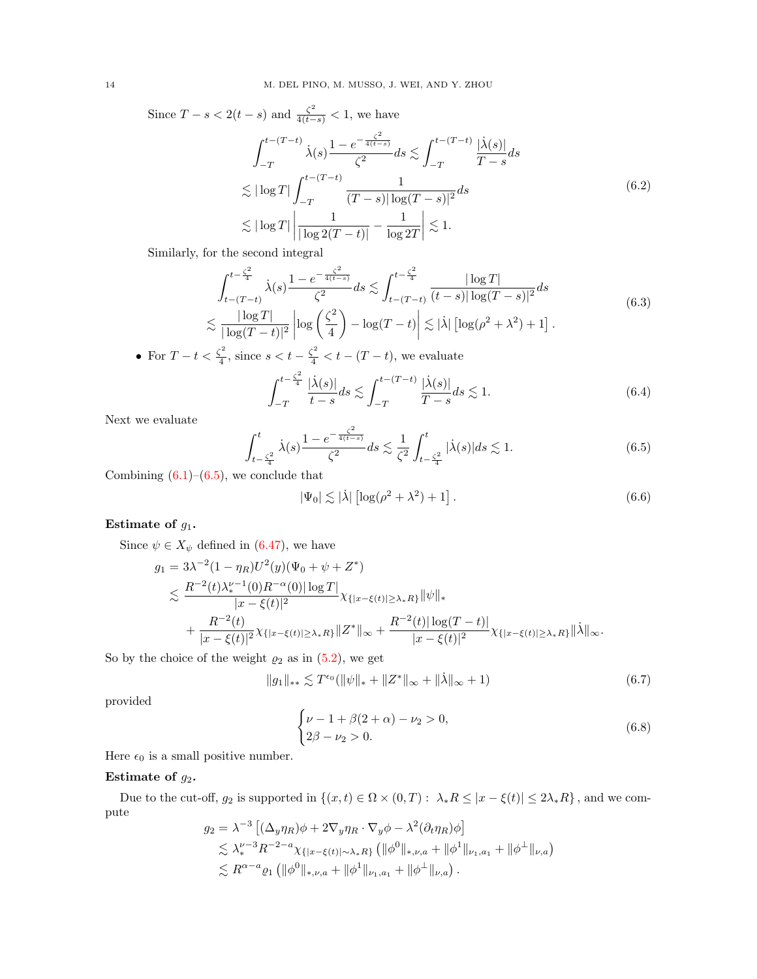Since  $T - s < 2(t - s)$  and  $\frac{\zeta^2}{4(t - s)} < 1$ , we have

$$
\int_{-T}^{t-(T-t)} \dot{\lambda}(s) \frac{1 - e^{-\frac{\zeta^2}{4(t-s)}}}{\zeta^2} ds \lesssim \int_{-T}^{t-(T-t)} \frac{|\dot{\lambda}(s)|}{T-s} ds
$$
  

$$
\lesssim |\log T| \int_{-T}^{t-(T-t)} \frac{1}{(T-s)|\log(T-s)|^2} ds
$$
  

$$
\lesssim |\log T| \left| \frac{1}{|\log 2(T-t)|} - \frac{1}{\log 2T} \right| \lesssim 1.
$$
 (6.2)

Similarly, for the second integral

$$
\int_{t-(T-t)}^{t-\frac{\zeta^2}{4}} \dot{\lambda}(s) \frac{1-e^{-\frac{\zeta^2}{4(t-s)}}}{\zeta^2} ds \lesssim \int_{t-(T-t)}^{t-\frac{\zeta^2}{4}} \frac{|\log T|}{(t-s)| \log (T-s)|^2} ds
$$
\n
$$
\lesssim \frac{|\log T|}{|\log (T-t)|^2} \left| \log \left(\frac{\zeta^2}{4}\right) - \log (T-t) \right| \lesssim |\dot{\lambda}| \left[ \log (\rho^2 + \lambda^2) + 1 \right].
$$
\n(6.3)

• For  $T-t<\frac{\zeta^2}{4}$  $\frac{s^2}{4}$ , since  $s < t - \frac{\zeta^2}{4} < t - (T - t)$ , we evaluate 2

 $\overline{2}$ 

$$
\int_{-T}^{t-\frac{\zeta^2}{4}} \frac{|\dot{\lambda}(s)|}{t-s} ds \lesssim \int_{-T}^{t-(T-t)} \frac{|\dot{\lambda}(s)|}{T-s} ds \lesssim 1. \tag{6.4}
$$

Next we evaluate

<span id="page-13-0"></span>
$$
\int_{t-\frac{\zeta^2}{4}}^{t} \dot{\lambda}(s) \frac{1-e^{-\frac{\zeta^2}{4(t-s)}}}{\zeta^2} ds \lesssim \frac{1}{\zeta^2} \int_{t-\frac{\zeta^2}{4}}^{t} |\dot{\lambda}(s)| ds \lesssim 1.
$$
 (6.5)

Combining  $(6.1)$ – $(6.5)$ , we conclude that

<span id="page-13-3"></span>
$$
|\Psi_0| \lesssim |\dot{\lambda}| \left[ \log(\rho^2 + \lambda^2) + 1 \right]. \tag{6.6}
$$

### Estimate of  $g_1$ .

Since  $\psi \in X_{\psi}$  defined in [\(6.47\)](#page-20-0), we have

$$
g_1 = 3\lambda^{-2} (1 - \eta_R) U^2(y) (\Psi_0 + \psi + Z^*)
$$
  
\$\leq\$ 
$$
\frac{R^{-2}(t)\lambda_*^{\nu-1}(0)R^{-\alpha}(0)|\log T|}{|x - \xi(t)|^2} \chi_{\{|x - \xi(t)| \geq \lambda_* R\}} ||\psi||_*+ \frac{R^{-2}(t)}{|x - \xi(t)|^2} \chi_{\{|x - \xi(t)| \geq \lambda_* R\}} ||Z^*||_{\infty} + \frac{R^{-2}(t)|\log(T - t)|}{|x - \xi(t)|^2} \chi_{\{|x - \xi(t)| \geq \lambda_* R\}} ||\lambda||_{\infty}.
$$

So by the choice of the weight  $\varrho_2$  as in [\(5.2\)](#page-8-3), we get

<span id="page-13-1"></span>
$$
||g_1||_{**} \lesssim T^{\epsilon_0}(||\psi||_{*} + ||Z^*||_{\infty} + ||\dot{\lambda}||_{\infty} + 1)
$$
\n(6.7)

provided

<span id="page-13-2"></span>
$$
\begin{cases} \nu - 1 + \beta(2 + \alpha) - \nu_2 > 0, \\ 2\beta - \nu_2 > 0. \end{cases}
$$
 (6.8)

Here  $\epsilon_0$  is a small positive number.

### Estimate of  $g_2$ .

Due to the cut-off,  $g_2$  is supported in  $\{(x, t) \in \Omega \times (0, T) : \lambda_* R \leq |x - \xi(t)| \leq 2\lambda_* R\}$ , and we compute

$$
g_2 = \lambda^{-3} \left[ (\Delta_y \eta_R) \phi + 2 \nabla_y \eta_R \cdot \nabla_y \phi - \lambda^2 (\partial_t \eta_R) \phi \right]
$$
  
\$\leq \lambda\_\*^{\nu-3} R^{-2-a} \chi\_{\{|x-\xi(t)| \sim \lambda\_\* R\}} \left( \| \phi^0 \|\_{\*,\nu,a} + \| \phi^1 \|\_{\nu\_1,a\_1} + \| \phi^\perp \|\_{\nu,a} \right) \$  
\$\leq R^{\alpha-a} \varrho\_1 \left( \| \phi^0 \|\_{\*,\nu,a} + \| \phi^1 \|\_{\nu\_1,a\_1} + \| \phi^\perp \|\_{\nu,a} \right)\$.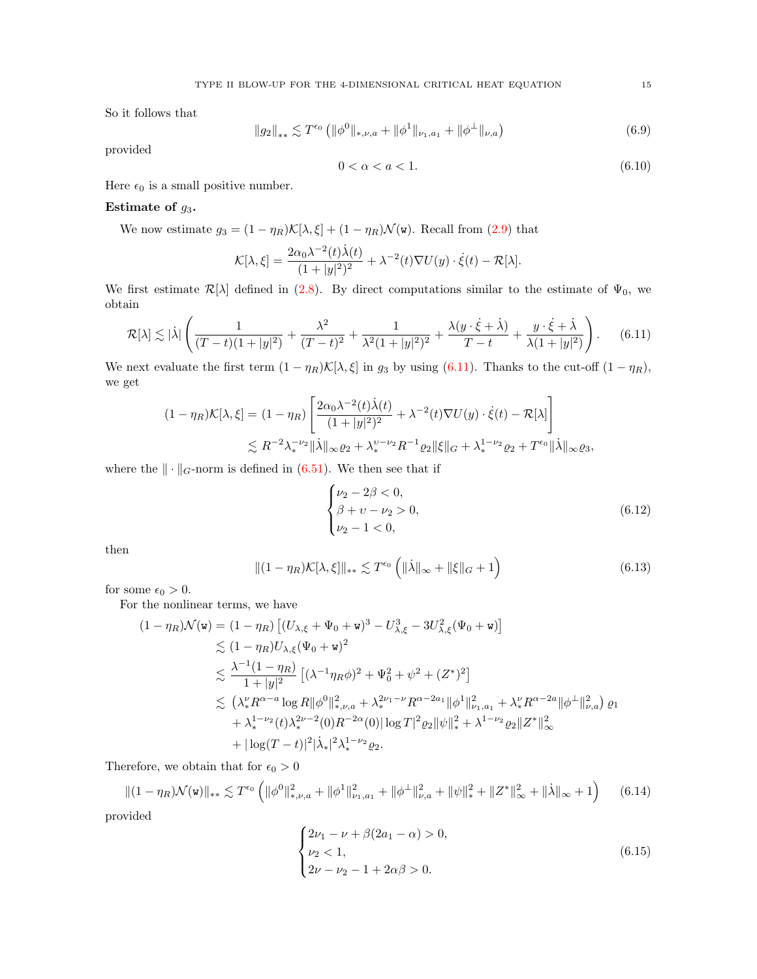So it follows that

<span id="page-14-1"></span>
$$
||g_2||_{**} \lesssim T^{\epsilon_0} (||\phi^0||_{*,\nu,a} + ||\phi^1||_{\nu_1,a_1} + ||\phi^\perp||_{\nu,a})
$$
\n(6.9)

provided

<span id="page-14-2"></span>
$$
0 < \alpha < a < 1. \tag{6.10}
$$

Here  $\epsilon_0$  is a small positive number.

### Estimate of  $g_3$ .

We now estimate  $g_3 = (1 - \eta_R)\mathcal{K}[\lambda, \xi] + (1 - \eta_R)\mathcal{N}(\mathbf{w})$ . Recall from [\(2.9\)](#page-4-1) that

$$
\mathcal{K}[\lambda,\xi] = \frac{2\alpha_0\lambda^{-2}(t)\dot{\lambda}(t)}{(1+|y|^2)^2} + \lambda^{-2}(t)\nabla U(y) \cdot \dot{\xi}(t) - \mathcal{R}[\lambda].
$$

We first estimate  $\mathcal{R}[\lambda]$  defined in [\(2.8\)](#page-4-0). By direct computations similar to the estimate of  $\Psi_0$ , we obtain

<span id="page-14-0"></span>
$$
\mathcal{R}[\lambda] \lesssim |\lambda| \left( \frac{1}{(T-t)(1+|y|^2)} + \frac{\lambda^2}{(T-t)^2} + \frac{1}{\lambda^2 (1+|y|^2)^2} + \frac{\lambda (y \cdot \dot{\xi} + \dot{\lambda})}{T-t} + \frac{y \cdot \dot{\xi} + \dot{\lambda}}{\lambda (1+|y|^2)} \right). \tag{6.11}
$$

We next evaluate the first term  $(1 - \eta_R) \mathcal{K}[\lambda, \xi]$  in  $g_3$  by using [\(6.11\)](#page-14-0). Thanks to the cut-off  $(1 - \eta_R)$ , we get

$$
(1 - \eta_R)\mathcal{K}[\lambda, \xi] = (1 - \eta_R) \left[ \frac{2\alpha_0 \lambda^{-2}(t)\dot{\lambda}(t)}{(1 + |y|^2)^2} + \lambda^{-2}(t)\nabla U(y) \cdot \dot{\xi}(t) - \mathcal{R}[\lambda] \right]
$$
  

$$
\lesssim R^{-2} \lambda_*^{-\nu_2} \|\dot{\lambda}\|_{\infty} \varrho_2 + \lambda_*^{\nu - \nu_2} R^{-1} \varrho_2 \|\xi\|_G + \lambda_*^{1 - \nu_2} \varrho_2 + T^{\epsilon_0} \|\dot{\lambda}\|_{\infty} \varrho_3,
$$

where the  $\|\cdot\|_G$ -norm is defined in [\(6.51\)](#page-21-2). We then see that if

<span id="page-14-4"></span>
$$
\begin{cases} \nu_2 - 2\beta < 0, \\ \beta + \nu - \nu_2 > 0, \\ \nu_2 - 1 < 0, \end{cases} \tag{6.12}
$$

then

<span id="page-14-3"></span>
$$
\|(1 - \eta_R)\mathcal{K}[\lambda, \xi]\|_{**} \lesssim T^{\epsilon_0} \left( \|\dot{\lambda}\|_{\infty} + \|\xi\|_{G} + 1 \right) \tag{6.13}
$$

for some  $\epsilon_0 > 0$ .

For the nonlinear terms, we have

$$
(1 - \eta_R)\mathcal{N}(\mathbf{w}) = (1 - \eta_R) \left[ (U_{\lambda,\xi} + \Psi_0 + \mathbf{w})^3 - U_{\lambda,\xi}^3 - 3U_{\lambda,\xi}^2(\Psi_0 + \mathbf{w}) \right]
$$
  
\n
$$
\lesssim (1 - \eta_R)U_{\lambda,\xi}(\Psi_0 + \mathbf{w})^2
$$
  
\n
$$
\lesssim \frac{\lambda^{-1}(1 - \eta_R)}{1 + |y|^2} \left[ (\lambda^{-1}\eta_R\phi)^2 + \Psi_0^2 + \psi^2 + (Z^*)^2 \right]
$$
  
\n
$$
\lesssim (\lambda_*^{\nu}R^{\alpha - a} \log R \|\phi^0\|_{*,\nu,a}^2 + \lambda_*^{2\nu_1 - \nu}R^{\alpha - 2a_1} \|\phi^1\|_{\nu_{1},a_1}^2 + \lambda_*^{\nu}R^{\alpha - 2a} \|\phi^{\perp}\|_{\nu,a}^2 \right) \varrho_1
$$
  
\n
$$
+ \lambda_*^{1 - \nu_2}(t)\lambda_*^{2\nu - 2}(0)R^{-2\alpha}(0) \|\log T\|^2 \varrho_2 \|\psi\|_{*}^2 + \lambda^{1 - \nu_2}\varrho_2 \|Z^*\|_{\infty}^2
$$
  
\n
$$
+ |\log(T - t)|^2 |\lambda_*|^2 \lambda_*^{1 - \nu_2} \varrho_2.
$$

Therefore, we obtain that for  $\epsilon_0 > 0$ 

<span id="page-14-5"></span>
$$
\|(1 - \eta_R)\mathcal{N}(\mathbf{w})\|_{**} \lesssim T^{\epsilon_0} \left( \|\phi^0\|_{*,\nu,a}^2 + \|\phi^1\|_{\nu_1,a_1}^2 + \|\phi^\perp\|_{\nu,a}^2 + \|\psi\|_*^2 + \|Z^*\|_{\infty}^2 + \|\dot{\lambda}\|_{\infty} + 1 \right) \tag{6.14}
$$

provided

<span id="page-14-6"></span>
$$
\begin{cases} 2\nu_1 - \nu + \beta(2a_1 - \alpha) > 0, \\ \nu_2 < 1, \\ 2\nu - \nu_2 - 1 + 2\alpha\beta > 0. \end{cases}
$$
 (6.15)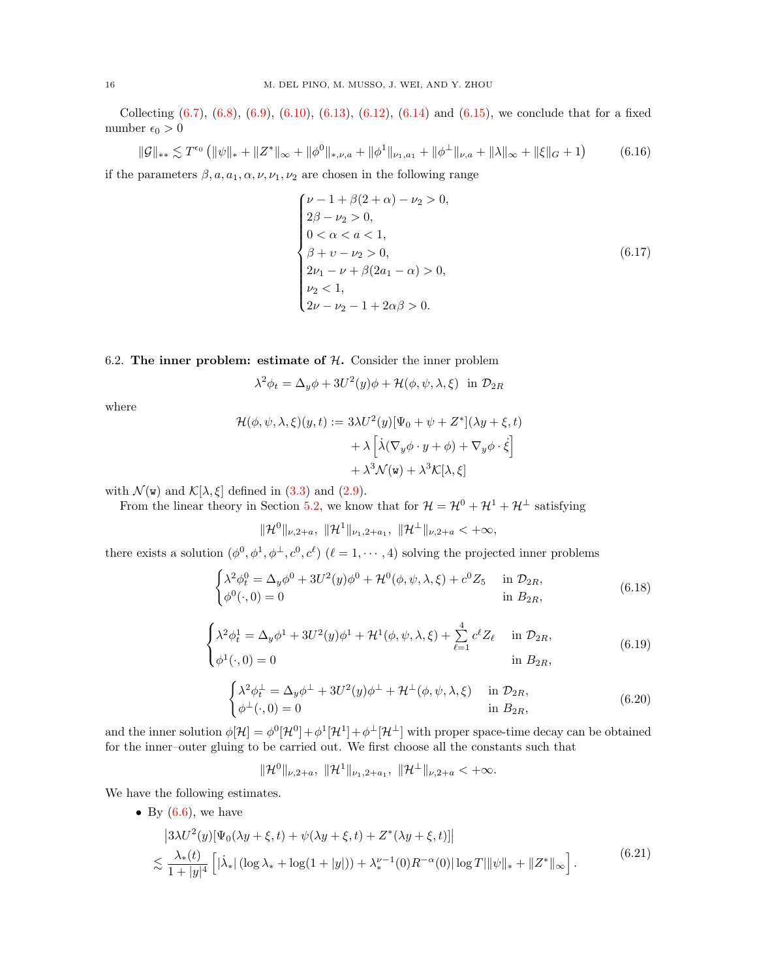Collecting  $(6.7)$ ,  $(6.8)$ ,  $(6.9)$ ,  $(6.10)$ ,  $(6.13)$ ,  $(6.12)$ ,  $(6.14)$  and  $(6.15)$ , we conclude that for a fixed number $\epsilon_0 > 0$ 

<span id="page-15-4"></span>
$$
\|\mathcal{G}\|_{**} \lesssim T^{\epsilon_0} \left( \|\psi\|_{*} + \|Z^*\|_{\infty} + \|\phi^0\|_{*,\nu,a} + \|\phi^1\|_{\nu_1,a_1} + \|\phi^\perp\|_{\nu,a} + \|\lambda\|_{\infty} + \|\xi\|_{G} + 1 \right) \tag{6.16}
$$

if the parameters  $\beta$ ,  $a$ ,  $a_1$ ,  $\alpha$ ,  $\nu$ ,  $\nu_1$ ,  $\nu_2$  are chosen in the following range

$$
\begin{cases}\n\nu - 1 + \beta(2 + \alpha) - \nu_2 > 0, \\
2\beta - \nu_2 > 0, \\
0 < \alpha < a < 1, \\
\beta + \nu - \nu_2 > 0, \\
2\nu_1 - \nu + \beta(2a_1 - \alpha) > 0, \\
\nu_2 < 1, \\
2\nu - \nu_2 - 1 + 2\alpha\beta > 0.\n\end{cases} \tag{6.17}
$$

### <span id="page-15-0"></span>6.2. The inner problem: estimate of  $H$ . Consider the inner problem

$$
\lambda^{2} \phi_{t} = \Delta_{y} \phi + 3U^{2}(y)\phi + \mathcal{H}(\phi, \psi, \lambda, \xi) \text{ in } \mathcal{D}_{2R}
$$

where

$$
\mathcal{H}(\phi, \psi, \lambda, \xi)(y, t) := 3\lambda U^2(y)[\Psi_0 + \psi + Z^*](\lambda y + \xi, t) \n+ \lambda \left[ \lambda(\nabla_y \phi \cdot y + \phi) + \nabla_y \phi \cdot \dot{\xi} \right] \n+ \lambda^3 \mathcal{N}(\mathbf{w}) + \lambda^3 \mathcal{K}[\lambda, \xi]
$$

with  $\mathcal{N}(\mathbf{w})$  and  $\mathcal{K}[\lambda, \xi]$  defined in [\(3.3\)](#page-5-4) and [\(2.9\)](#page-4-1).

 $\parallel$ 

From the linear theory in Section [5.2,](#page-10-0) we know that for  $\mathcal{H} = \mathcal{H}^0 + \mathcal{H}^1 + \mathcal{H}^\perp$  satisfying

$$
\mathcal{H}^{0\,||_{\nu,2+a},\,\|\mathcal{H}^{1\,||_{\nu_{1},2+a_{1}},\,\|\mathcal{H}^{\perp}\|_{\nu,2+a}<+\infty,
$$

there exists a solution  $(\phi^0, \phi^1, \phi^\perp, c^0, c^\ell)$   $(\ell = 1, \dots, 4)$  solving the projected inner problems

<span id="page-15-2"></span>
$$
\begin{cases} \lambda^2 \phi_t^0 = \Delta_y \phi^0 + 3U^2(y)\phi^0 + \mathcal{H}^0(\phi, \psi, \lambda, \xi) + c^0 Z_5 & \text{in } \mathcal{D}_{2R}, \\ \phi^0(\cdot, 0) = 0 & \text{in } B_{2R}, \end{cases}
$$
(6.18)

$$
\begin{cases} \lambda^2 \phi_t^1 = \Delta_y \phi^1 + 3U^2(y)\phi^1 + \mathcal{H}^1(\phi, \psi, \lambda, \xi) + \sum_{\ell=1}^4 c^\ell Z_\ell & \text{in } \mathcal{D}_{2R}, \\ \phi^1(\cdot, 0) = 0 & \text{in } B_{2R}, \end{cases}
$$
(6.19)

<span id="page-15-3"></span>
$$
\begin{cases} \lambda^2 \phi_t^{\perp} = \Delta_y \phi^{\perp} + 3U^2(y)\phi^{\perp} + \mathcal{H}^{\perp}(\phi, \psi, \lambda, \xi) & \text{in } \mathcal{D}_{2R}, \\ \phi^{\perp}(\cdot, 0) = 0 & \text{in } B_{2R}, \end{cases}
$$
(6.20)

and the inner solution  $\phi[\mathcal{H}] = \phi^0[\mathcal{H}^0] + \phi^1[\mathcal{H}^1] + \phi^{\perp}[\mathcal{H}^1]$  with proper space-time decay can be obtained for the inner–outer gluing to be carried out. We first choose all the constants such that

$$
\|\mathcal{H}^0\|_{\nu,2+a},\ \|\mathcal{H}^1\|_{\nu_1,2+a_1},\ \|\mathcal{H}^{\perp}\|_{\nu,2+a} < +\infty.
$$

We have the following estimates.

• By  $(6.6)$ , we have

<span id="page-15-1"></span>
$$
\begin{split} & \left| 3\lambda U^2(y) [\Psi_0(\lambda y + \xi, t) + \psi(\lambda y + \xi, t) + Z^*(\lambda y + \xi, t)] \right| \\ &\leq \frac{\lambda_*(t)}{1 + |y|^4} \left[ |\lambda_*| \left( \log \lambda_* + \log(1 + |y|) \right) + \lambda_*^{\nu - 1}(0) R^{-\alpha}(0) |\log T| ||\psi||_* + \|Z^*||_{\infty} \right]. \end{split} \tag{6.21}
$$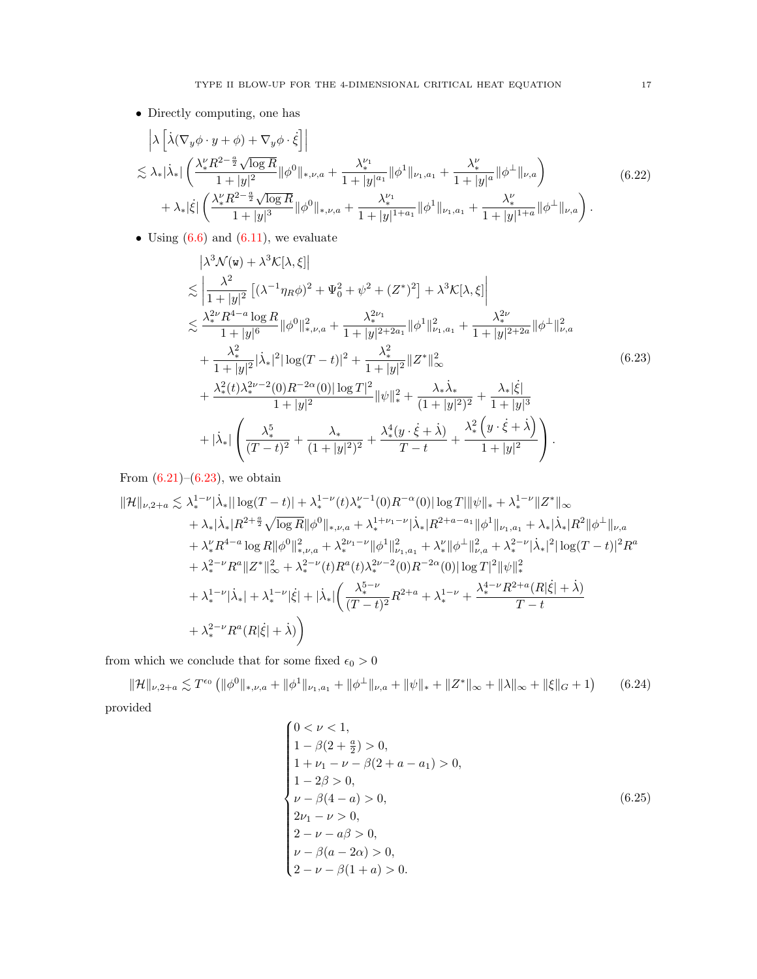• Directly computing, one has

$$
\begin{split}\n&\left|\lambda\left[\dot{\lambda}(\nabla_y\phi\cdot y+\phi)+\nabla_y\phi\cdot\dot{\xi}\right]\right| \\
&\lesssim \lambda_*|\dot{\lambda}_*|\left(\frac{\lambda_*^{\nu}R^{2-\frac{a}{2}}\sqrt{\log R}}{1+|y|^2}\|\phi^0\|_{*,\nu,a}+\frac{\lambda_*^{\nu_1}}{1+|y|^{a_1}}\|\phi^1\|_{\nu_1,a_1}+\frac{\lambda_*^{\nu}}{1+|y|^a}\|\phi^{\perp}\|_{\nu,a}\right) \\
&+\lambda_*|\dot{\xi}|\left(\frac{\lambda_*^{\nu}R^{2-\frac{a}{2}}\sqrt{\log R}}{1+|y|^3}\|\phi^0\|_{*,\nu,a}+\frac{\lambda_*^{\nu_1}}{1+|y|^{1+a_1}}\|\phi^1\|_{\nu_1,a_1}+\frac{\lambda_*^{\nu}}{1+|y|^{1+a}}\|\phi^{\perp}\|_{\nu,a}\right).\n\end{split} \tag{6.22}
$$

• Using  $(6.6)$  and  $(6.11)$ , we evaluate

<span id="page-16-0"></span>
$$
\begin{split}\n&|\lambda^{3}\mathcal{N}(\mathbf{w}) + \lambda^{3}\mathcal{K}[\lambda,\xi]| \\
&\lesssim \left|\frac{\lambda^{2}}{1+|y|^{2}}\left[(\lambda^{-1}\eta_{R}\phi)^{2} + \Psi_{0}^{2} + \psi^{2} + (Z^{*})^{2}\right] + \lambda^{3}\mathcal{K}[\lambda,\xi]\right| \\
&\lesssim \frac{\lambda_{*}^{2\nu}R^{4-a}\log R}{1+|y|^{6}}\|\phi^{0}\|_{*,\nu,a}^{2} + \frac{\lambda_{*}^{2\nu_{1}}}{1+|y|^{2+2a_{1}}}\|\phi^{1}\|_{\nu_{1},a_{1}}^{2} + \frac{\lambda_{*}^{2\nu}}{1+|y|^{2+2a}}\|\phi^{1}\|_{\nu,a}^{2} \\
&+ \frac{\lambda_{*}^{2}}{1+|y|^{2}}|\lambda_{*}|^{2}|\log(T-t)|^{2} + \frac{\lambda_{*}^{2}}{1+|y|^{2}}\|Z^{*}\|_{\infty}^{2} \\
&+ \frac{\lambda_{*}^{2}(t)\lambda_{*}^{2\nu-2}(0)R^{-2\alpha}(0)|\log T|^{2}}{1+|y|^{2}}\|\psi\|_{*}^{2} + \frac{\lambda_{*}\lambda_{*}}{(1+|y|^{2})^{2}} + \frac{\lambda_{*}|\xi|}{1+|y|^{3}} \\
&+ |\lambda_{*}|\left(\frac{\lambda_{*}^{5}}{(T-t)^{2}} + \frac{\lambda_{*}}{(1+|y|^{2})^{2}} + \frac{\lambda_{*}^{4}(y \cdot \xi + \lambda)}{T-t} + \frac{\lambda_{*}^{2}\left(y \cdot \xi + \lambda\right)}{1+|y|^{2}}\right).\n\end{split} \tag{6.23}
$$

From  $(6.21)$ – $(6.23)$ , we obtain

$$
\|\mathcal{H}\|_{\nu,2+a} \lesssim \lambda_*^{1-\nu} |\dot{\lambda}_*| |\log(T-t)| + \lambda_*^{1-\nu}(t) \lambda_*^{\nu-1}(0) R^{-\alpha}(0) |\log T| \|\psi\|_* + \lambda_*^{1-\nu} \|Z^*\|_{\infty} + \lambda_* |\dot{\lambda}_*| R^{2+\frac{a}{2}} \sqrt{\log R} \|\phi^0\|_{*,\nu,a} + \lambda_*^{1+\nu_1-\nu} |\dot{\lambda}_*| R^{2+a-a_1} \|\phi^1\|_{\nu_1,a_1} + \lambda_* |\dot{\lambda}_*| R^2 \|\phi^\perp\|_{\nu,a} + \lambda_*^{\nu} R^{4-a} \log R \|\phi^0\|_{*,\nu,a}^2 + \lambda_*^{2\nu_1-\nu} \|\phi^1\|_{\nu_1,a_1}^2 + \lambda_*^{\nu} \|\phi^\perp\|_{\nu,a}^2 + \lambda_*^{2-\nu} |\dot{\lambda}_*|^2 |\log(T-t)|^2 R^a + \lambda_*^{2-\nu} R^a \|Z^*\|_{\infty}^2 + \lambda_*^{2-\nu}(t) R^a(t) \lambda_*^{2\nu-2}(0) R^{-2\alpha}(0) |\log T|^2 \|\psi\|_{*}^2 + \lambda_*^{1-\nu} |\dot{\lambda}_*| + \lambda_*^{1-\nu} |\dot{\xi}| + |\dot{\lambda}_*| \left( \frac{\lambda_*^{5-\nu}}{(T-t)^2} R^{2+a} + \lambda_*^{1-\nu} + \frac{\lambda_*^{4-\nu} R^{2+a}(R|\dot{\xi}| + \dot{\lambda})}{T-t} \right. + \lambda_*^{2-\nu} R^a(R|\dot{\xi}| + \dot{\lambda}) \right)
$$

from which we conclude that for some fixed  $\epsilon_0 > 0$ 

<span id="page-16-1"></span> $\|\mathcal{H}\|_{\nu,2+a}\lesssim T^{\epsilon_{0}}\left(\|\phi^{0}\|_{*,\nu,a}+\|\phi^{1}\|_{\nu_{1},a_{1}}+\|\phi^{ \perp}\|_{\nu,a}+\|\psi\|_{*}+\|Z^{*}\|_{\infty}+\|\lambda\|_{\infty}+\|\xi\|_{G}+1\right)$ (6.24) provided

$$
\begin{cases}\n0 < \nu < 1, \\
1 - \beta(2 + \frac{a}{2}) > 0, \\
1 + \nu_1 - \nu - \beta(2 + a - a_1) > 0, \\
1 - 2\beta > 0, \\
\nu - \beta(4 - a) > 0, \\
2\nu_1 - \nu > 0, \\
2 - \nu - a\beta > 0, \\
\nu - \beta(a - 2\alpha) > 0, \\
2 - \nu - \beta(1 + a) > 0.\n\end{cases} \tag{6.25}
$$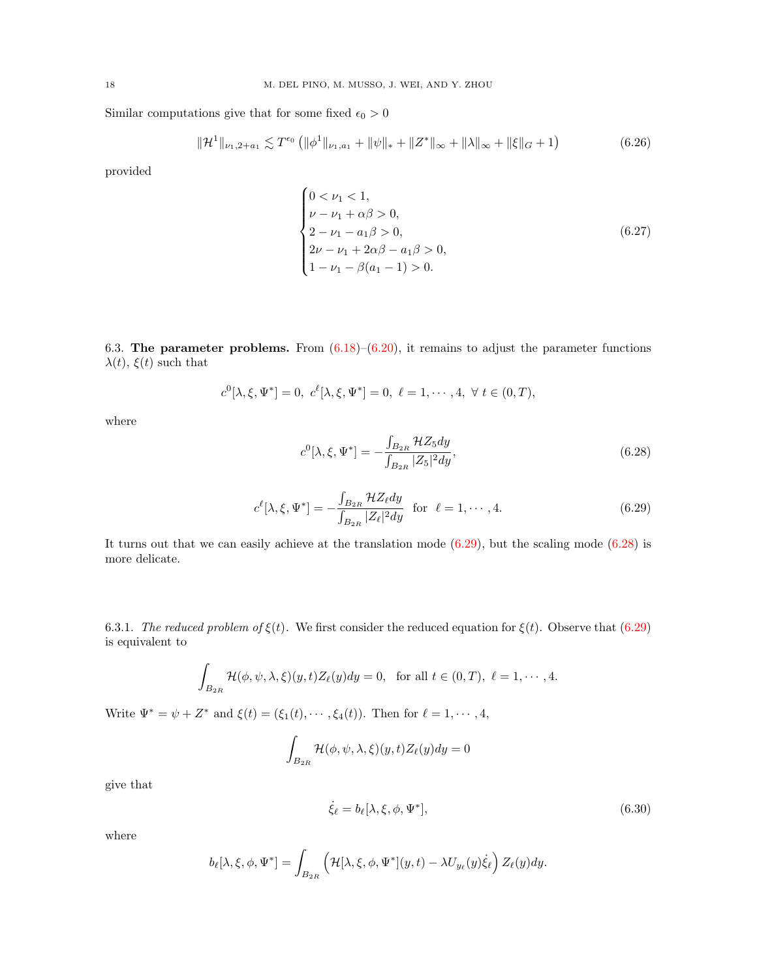Similar computations give that for some fixed  $\epsilon_0 > 0$ 

<span id="page-17-3"></span>
$$
\|\mathcal{H}^1\|_{\nu_1,2+a_1} \lesssim T^{\epsilon_0} \left( \|\phi^1\|_{\nu_1,a_1} + \|\psi\|_{*} + \|Z^*\|_{\infty} + \|\lambda\|_{\infty} + \|\xi\|_{G} + 1 \right) \tag{6.26}
$$

provided

$$
\begin{cases}\n0 < \nu_1 < 1, \\
\nu - \nu_1 + \alpha \beta > 0, \\
2 - \nu_1 - a_1 \beta > 0, \\
2\nu - \nu_1 + 2\alpha \beta - a_1 \beta > 0, \\
1 - \nu_1 - \beta(a_1 - 1) > 0.\n\end{cases} \tag{6.27}
$$

6.3. The parameter problems. From  $(6.18)$ – $(6.20)$ , it remains to adjust the parameter functions  $\lambda(t)$ ,  $\xi(t)$  such that

$$
c^0[\lambda, \xi, \Psi^*] = 0, c^{\ell}[\lambda, \xi, \Psi^*] = 0, \ell = 1, \cdots, 4, \forall t \in (0, T),
$$

where

<span id="page-17-1"></span>
$$
c^{0}[\lambda, \xi, \Psi^{*}] = -\frac{\int_{B_{2R}} \mathcal{H}Z_{5}dy}{\int_{B_{2R}} |Z_{5}|^{2}dy},
$$
\n(6.28)

<span id="page-17-0"></span>
$$
c^{\ell}[\lambda, \xi, \Psi^*] = -\frac{\int_{B_{2R}} \mathcal{H} Z_{\ell} dy}{\int_{B_{2R}} |Z_{\ell}|^2 dy} \quad \text{for} \quad \ell = 1, \cdots, 4. \tag{6.29}
$$

It turns out that we can easily achieve at the translation mode  $(6.29)$ , but the scaling mode  $(6.28)$  is more delicate.

6.3.1. The reduced problem of  $\xi(t)$ . We first consider the reduced equation for  $\xi(t)$ . Observe that [\(6.29\)](#page-17-0) is equivalent to

$$
\int_{B_{2R}} \mathcal{H}(\phi, \psi, \lambda, \xi)(y, t) Z_{\ell}(y) dy = 0, \text{ for all } t \in (0, T), \ell = 1, \cdots, 4.
$$

Write  $\Psi^* = \psi + Z^*$  and  $\xi(t) = (\xi_1(t), \cdots, \xi_4(t))$ . Then for  $\ell = 1, \cdots, 4$ ,

$$
\int_{B_{2R}} \mathcal{H}(\phi, \psi, \lambda, \xi)(y, t) Z_{\ell}(y) dy = 0
$$

give that

<span id="page-17-2"></span>
$$
\dot{\xi}_{\ell} = b_{\ell}[\lambda, \xi, \phi, \Psi^*],\tag{6.30}
$$

where

$$
b_{\ell}[\lambda,\xi,\phi,\Psi^*] = \int_{B_{2R}} \left( \mathcal{H}[\lambda,\xi,\phi,\Psi^*](y,t) - \lambda U_{y_{\ell}}(y)\dot{\xi}_{\ell} \right) Z_{\ell}(y) dy.
$$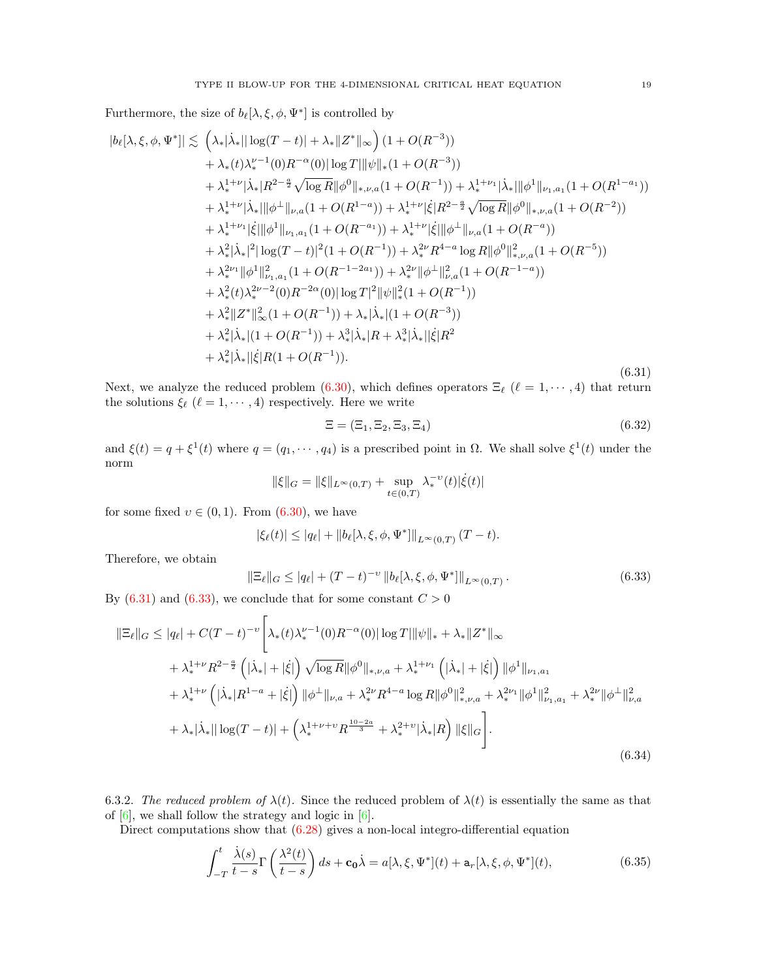Furthermore, the size of  $b_{\ell}[\lambda, \xi, \phi, \Psi^*]$  is controlled by

<span id="page-18-0"></span>
$$
|b_{\ell}[\lambda,\xi,\phi,\Psi^*]|\lesssim \left(\lambda_*|\dot{\lambda}_*||\log(T-t)|+\lambda_*||Z^*||_{\infty}\right)(1+O(R^{-3}))
$$
  
+  $\lambda_*(t)\lambda_*^{\nu-1}(0)R^{-\alpha}(0)||\log T||\psi||_*(1+O(R^{-3}))$   
+  $\lambda_*^{1+\nu}|\dot{\lambda}_*||R^{2-\frac{\alpha}{2}}\sqrt{\log R}||\phi^0||_{*,\nu,a}(1+O(R^{-1})) + \lambda_*^{1+\nu_1}|\dot{\lambda}_*|||\phi^1||_{\nu_1,a_1}(1+O(R^{1-\alpha}))$   
+  $\lambda_*^{1+\nu_1}|\dot{\lambda}_*|||\phi^{\perp}||_{\nu,a}(1+O(R^{1-\alpha})) + \lambda_*^{1+\nu_1}|\dot{\xi}|R^{2-\frac{\alpha}{2}}\sqrt{\log R}||\phi^0||_{*,\nu,a}(1+O(R^{-2}))$   
+  $\lambda_*^{1+\nu_1}|\dot{\xi}||\phi^1||_{\nu_1,a_1}(1+O(R^{-a})) + \lambda_*^{1+\nu_1}|\dot{\xi}||\phi^{\perp}||_{\nu,a}(1+O(R^{-a}))$   
+  $\lambda_*^2|\dot{\lambda}_*|^2|\log(T-t)|^2(1+O(R^{-1})) + \lambda_*^{2\nu}R^{4-\alpha}\log R||\phi^0||_{*,\nu,a}^2(1+O(R^{-5}))$   
+  $\lambda_*^{2\nu_1}||\phi^1||_{\nu_1,a_1}^2(1+O(R^{-1-2a_1})) + \lambda_*^{2\nu}||\phi^{\perp}||_{\nu,a}^2(1+O(R^{-1-a}))$   
+  $\lambda_*^2(t)\lambda_*^{2\nu-2}(0)R^{-2\alpha}(0)|\log T|^2||\psi||_*(1+O(R^{-1}))$   
+  $\lambda_*^2||Z^*||_{\infty}^2(1+O(R^{-1})) + \lambda_*|\dot{\lambda}_*(1+O(R^{-3}))$   
+  $\lambda_*^2|\dot{\lambda}_*(1+O(R^{-1})) + \lambda_*^3|\dot{\lambda}_*(R+\lambda_*^3|\dot{\lambda}_*(|R^2 + \lambda_*^2|\dot{\lambda}_*(|R(1+O(R^{-1}))).$  (6.31)

Next, we analyze the reduced problem [\(6.30\)](#page-17-2), which defines operators  $\Xi_{\ell}$  ( $\ell = 1, \cdots, 4$ ) that return the solutions  $\xi_\ell$  ( $\ell = 1, \dots, 4$ ) respectively. Here we write

<span id="page-18-3"></span>
$$
\Xi = (\Xi_1, \Xi_2, \Xi_3, \Xi_4) \tag{6.32}
$$

and  $\xi(t) = q + \xi^1(t)$  where  $q = (q_1, \dots, q_4)$  is a prescribed point in  $\Omega$ . We shall solve  $\xi^1(t)$  under the norm

$$
\|\xi\|_G = \|\xi\|_{L^\infty(0,T)} + \sup_{t\in(0,T)} \lambda_*^{-\upsilon}(t) |\dot{\xi}(t)|
$$

for some fixed  $v \in (0, 1)$ . From  $(6.30)$ , we have

$$
|\xi_{\ell}(t)| \leq |q_{\ell}| + ||b_{\ell}[\lambda, \xi, \phi, \Psi^*]||_{L^{\infty}(0,T)} (T-t).
$$

Therefore, we obtain

<span id="page-18-1"></span>
$$
\|\Xi_{\ell}\|_{G} \le |q_{\ell}| + (T - t)^{-\upsilon} \|b_{\ell}[\lambda, \xi, \phi, \Psi^*]\|_{L^{\infty}(0,T)}.
$$
\n(6.33)

By  $(6.31)$  and  $(6.33)$ , we conclude that for some constant  $C > 0$ 

<span id="page-18-4"></span>
$$
\|\Xi_{\ell}\|_{G} \le |q_{\ell}| + C(T-t)^{-\upsilon} \Bigg[ \lambda_{*}(t)\lambda_{*}^{\nu-1}(0)R^{-\alpha}(0)|\log T||\psi\|_{*} + \lambda_{*} \|Z^{*}\|_{\infty} \n+ \lambda_{*}^{1+\nu}R^{2-\frac{a}{2}}\left(|\lambda_{*}|+|\dot{\xi}|\right)\sqrt{\log R}\|\phi^{0}\|_{*,\nu,a} + \lambda_{*}^{1+\nu_{1}}\left(|\lambda_{*}|+|\dot{\xi}|\right)\|\phi^{1}\|_{\nu_{1},a_{1}} \n+ \lambda_{*}^{1+\nu}\left(|\lambda_{*}|R^{1-a}+|\dot{\xi}|\right)\|\phi^{\perp}\|_{\nu,a} + \lambda_{*}^{2\nu}R^{4-a}\log R\|\phi^{0}\|_{*,\nu,a}^{2} + \lambda_{*}^{2\nu_{1}}\|\phi^{1}\|_{\nu_{1},a_{1}}^{2} + \lambda_{*}^{2\nu}\|\phi^{\perp}\|_{\nu,a}^{2} \n+ \lambda_{*}|\lambda_{*}||\log(T-t)| + \left(\lambda_{*}^{1+\nu+\nu}R^{\frac{10-2a}{3}} + \lambda_{*}^{2+\nu}|\lambda_{*}|R\right)\|\xi\|_{G}\Bigg].
$$
\n(6.34)

<span id="page-18-2"></span>6.3.2. The reduced problem of  $\lambda(t)$ . Since the reduced problem of  $\lambda(t)$  is essentially the same as that of  $[6]$ , we shall follow the strategy and logic in  $[6]$ .

Direct computations show that  $(6.28)$  gives a non-local integro-differential equation

$$
\int_{-T}^{t} \frac{\dot{\lambda}(s)}{t-s} \Gamma\left(\frac{\lambda^2(t)}{t-s}\right) ds + \mathbf{c_0} \dot{\lambda} = a[\lambda, \xi, \Psi^*](t) + \mathbf{a}_r[\lambda, \xi, \phi, \Psi^*](t),\tag{6.35}
$$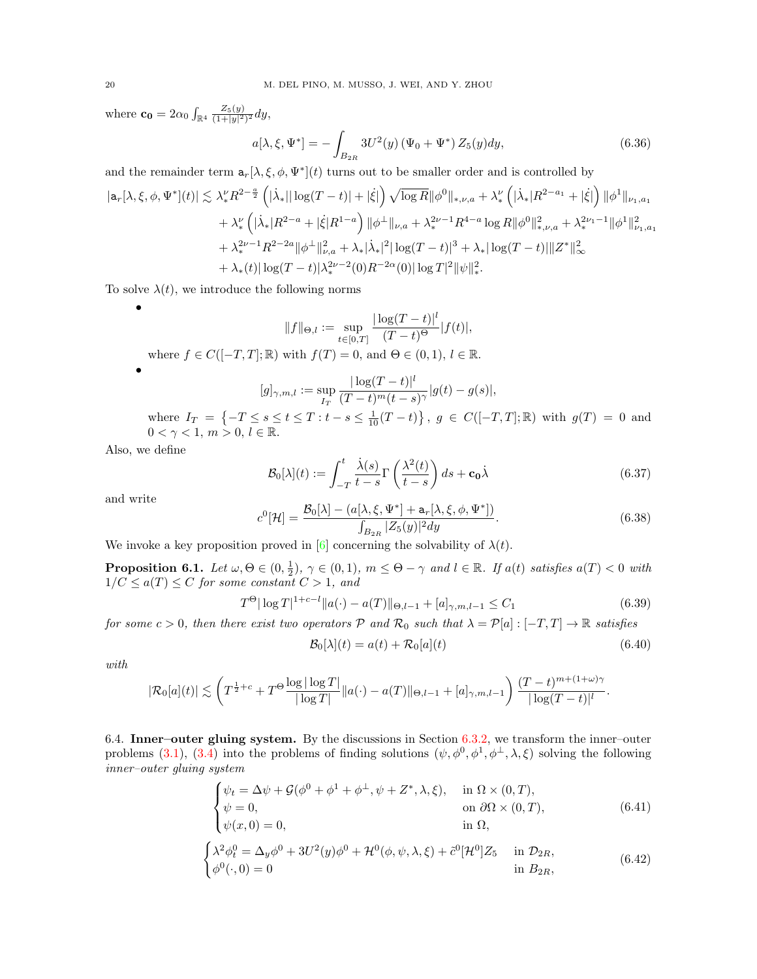where  $\mathbf{c_0} = 2\alpha_0 \int_{\mathbb{R}^4} \frac{Z_5(y)}{(1+|y|^2)^2} dy,$ 

$$
a[\lambda, \xi, \Psi^*] = -\int_{B_{2R}} 3U^2(y) \left(\Psi_0 + \Psi^*\right) Z_5(y) dy, \tag{6.36}
$$

and the remainder term  $a_r[\lambda, \xi, \phi, \Psi^*](t)$  turns out to be smaller order and is controlled by

$$
|a_r[\lambda, \xi, \phi, \Psi^*](t)| \lesssim \lambda_*^{\nu} R^{2-\frac{a}{2}} \left( |\dot{\lambda}_*| |\log(T-t)| + |\dot{\xi}| \right) \sqrt{\log R} ||\phi^0||_{*,\nu,a} + \lambda_*^{\nu} \left( |\dot{\lambda}_*| R^{2-a_1} + |\dot{\xi}| \right) ||\phi^1||_{\nu_1,a_1} + \lambda_*^{\nu} \left( |\dot{\lambda}_*| R^{2-a} + |\dot{\xi}| R^{1-a} \right) ||\phi^{\perp}||_{\nu,a} + \lambda_*^{2\nu-1} R^{4-a} \log R ||\phi^0||_{*,\nu,a}^2 + \lambda_*^{2\nu_1-1} ||\phi^1||_{\nu_1,a_1}^2 + \lambda_*^{2\nu-1} R^{2-2a} ||\phi^{\perp}||_{\nu,a}^2 + \lambda_* |\dot{\lambda}_*|^2 |\log(T-t)|^3 + \lambda_* |\log(T-t)| ||Z^*||_{\infty}^2 + \lambda_* (t) |\log(T-t)| \lambda_*^{2\nu-2}(0) R^{-2\alpha}(0) |\log T|^2 ||\psi||_*^2.
$$

To solve  $\lambda(t)$ , we introduce the following norms

$$
||f||_{\Theta,l} := \sup_{t \in [0,T]} \frac{|\log(T-t)|^l}{(T-t)^{\Theta}} |f(t)|,
$$
  
where  $f \in C([-T,T]; \mathbb{R})$  with  $f(T) = 0$ , and  $\Theta \in (0,1), l \in \mathbb{R}$ .

$$
[g]_{\gamma,m,l} := \sup_{I_T} \frac{|\log(T-t)|^l}{(T-t)^m(t-s)^\gamma} |g(t) - g(s)|,
$$
  
where  $I_T = \{-T \le s \le t \le T : t-s \le \frac{1}{10}(T-t)\}, g \in C([-T,T];\mathbb{R})$  with  $g(T) = 0$  and  
 $0 < \gamma < 1, m > 0, l \in \mathbb{R}.$ 

Also, we define

•

<span id="page-19-1"></span>
$$
\mathcal{B}_0[\lambda](t) := \int_{-T}^t \frac{\dot{\lambda}(s)}{t-s} \Gamma\left(\frac{\lambda^2(t)}{t-s}\right) ds + \mathbf{c}_0 \dot{\lambda}
$$
(6.37)

and write

$$
c^{0}[\mathcal{H}] = \frac{\mathcal{B}_{0}[\lambda] - (a[\lambda, \xi, \Psi^*] + \mathbf{a}_{r}[\lambda, \xi, \phi, \Psi^*])}{\int_{B_{2R}} |Z_5(y)|^2 dy}.
$$
\n(6.38)

We invoke a key proposition proved in [\[6\]](#page-24-16) concerning the solvability of  $\lambda(t)$ .

<span id="page-19-2"></span>**Proposition 6.1.** Let  $\omega, \Theta \in (0, \frac{1}{2})$ ,  $\gamma \in (0, 1)$ ,  $m \leq \Theta - \gamma$  and  $l \in \mathbb{R}$ . If  $a(t)$  satisfies  $a(T) < 0$  with  $1/C \leq a(T) \leq C$  for some constant  $C > 1$ , and

<span id="page-19-3"></span>
$$
T^{\Theta} |\log T|^{1+c-l} ||a(\cdot) - a(T)||_{\Theta, l-1} + [a]_{\gamma, m, l-1} \le C_1
$$
\n(6.39)

for some  $c > 0$ , then there exist two operators  $P$  and  $\mathcal{R}_0$  such that  $\lambda = P[a] : [-T, T] \to \mathbb{R}$  satisfies

$$
\mathcal{B}_0[\lambda](t) = a(t) + \mathcal{R}_0[a](t) \tag{6.40}
$$

with

$$
|\mathcal{R}_0[a](t)| \lesssim \left( T^{\frac{1}{2}+c} + T^{\Theta} \frac{\log |\log T|}{|\log T|} ||a(\cdot) - a(T)||_{\Theta, l-1} + [a]_{\gamma, m, l-1} \right) \frac{(T-t)^{m+(1+\omega)\gamma}}{|\log (T-t)|^l}.
$$

6.4. Inner–outer gluing system. By the discussions in Section [6.3.2,](#page-18-2) we transform the inner–outer problems [\(3.1\)](#page-5-3), [\(3.4\)](#page-5-2) into the problems of finding solutions  $(\psi, \phi^0, \phi^1, \phi^{\perp}, \lambda, \xi)$  solving the following inner–outer gluing system

<span id="page-19-0"></span>
$$
\begin{cases}\n\psi_t = \Delta \psi + \mathcal{G}(\phi^0 + \phi^1 + \phi^\perp, \psi + Z^*, \lambda, \xi), & \text{in } \Omega \times (0, T), \\
\psi = 0, & \text{on } \partial \Omega \times (0, T), \\
\psi(x, 0) = 0, & \text{in } \Omega,\n\end{cases}
$$
\n(6.41)

<span id="page-19-4"></span>
$$
\begin{cases} \lambda^2 \phi_t^0 = \Delta_y \phi^0 + 3U^2(y)\phi^0 + \mathcal{H}^0(\phi, \psi, \lambda, \xi) + \tilde{c}^0[\mathcal{H}^0]Z_5 & \text{in } \mathcal{D}_{2R}, \\ \phi^0(\cdot, 0) = 0 & \text{in } B_{2R}, \end{cases}
$$
(6.42)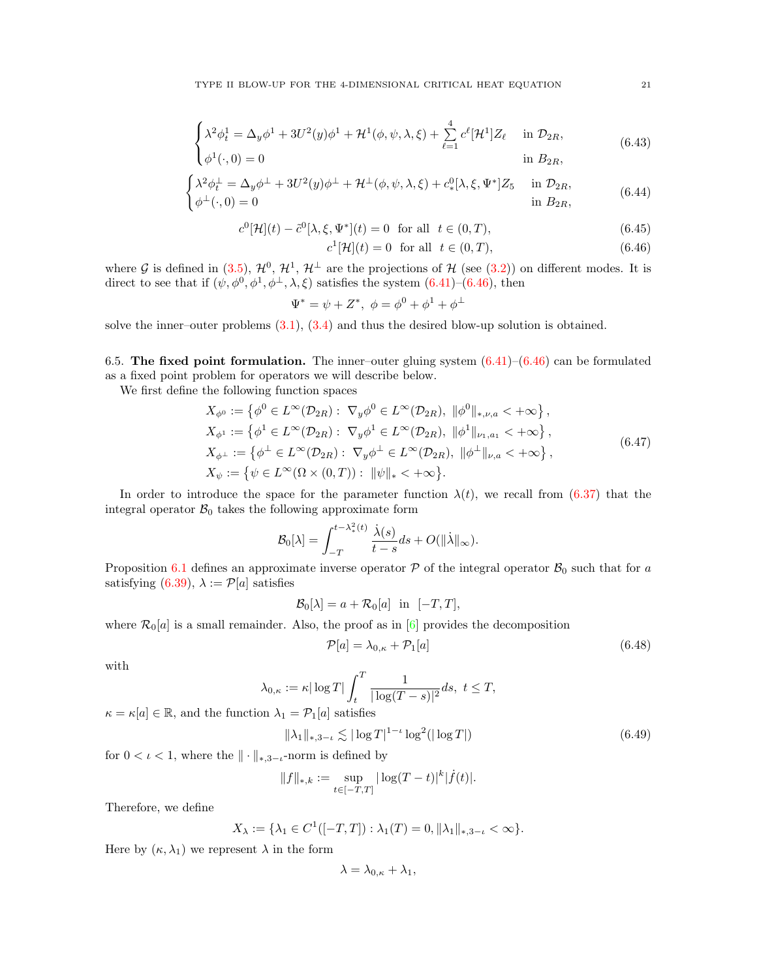<span id="page-20-4"></span>
$$
\begin{cases} \lambda^2 \phi_t^1 = \Delta_y \phi^1 + 3U^2(y)\phi^1 + \mathcal{H}^1(\phi, \psi, \lambda, \xi) + \sum_{\ell=1}^4 c^{\ell} [\mathcal{H}^1] Z_{\ell} & \text{in } \mathcal{D}_{2R}, \end{cases}
$$
(6.43)

$$
\begin{aligned}\n\oint \phi^1(\cdot,0) &= 0 & \text{in } B_{2R}, \\
\int \lambda^2 \phi_t^{\perp} &= \Delta_y \phi^{\perp} + 3U^2(y)\phi^{\perp} + \mathcal{H}^{\perp}(\phi,\psi,\lambda,\xi) + c_*^0[\lambda,\xi,\Psi^*]Z_5 & \text{in } \mathcal{D}_{2R},\n\end{aligned}
$$

<span id="page-20-2"></span>
$$
\begin{cases}\n\gamma_{\varphi_t} & \text{for } (\varphi, \varphi, \eta, \eta, \zeta) + \varphi_{\varphi_t}(\eta, \zeta, 1) = 0 \\
\phi^{\perp}(\cdot, 0) = 0 & \text{in } B_{2R},\n\end{cases}
$$
\n(6.44)

<span id="page-20-1"></span>
$$
c^{0}[\mathcal{H}](t) - \tilde{c}^{0}[\lambda, \xi, \Psi^{*}](t) = 0 \text{ for all } t \in (0, T), \tag{6.45}
$$

$$
c^{1}[\mathcal{H}](t) = 0 \quad \text{for all} \quad t \in (0, T), \tag{6.46}
$$

where G is defined in [\(3.5\)](#page-5-5),  $\mathcal{H}^0$ ,  $\mathcal{H}^1$ ,  $\mathcal{H}^\perp$  are the projections of H (see [\(3.2\)](#page-5-6)) on different modes. It is direct to see that if  $(\psi, \phi^0, \phi^1, \phi^{\perp}, \lambda, \xi)$  satisfies the system  $(6.41)$ – $(6.46)$ , then

$$
\Psi^* = \psi + Z^*, \ \phi = \phi^0 + \phi^1 + \phi^\perp
$$

solve the inner–outer problems  $(3.1)$ ,  $(3.4)$  and thus the desired blow-up solution is obtained.

6.5. The fixed point formulation. The inner–outer gluing system  $(6.41)$ – $(6.46)$  can be formulated as a fixed point problem for operators we will describe below.

We first define the following function spaces

<span id="page-20-0"></span>
$$
X_{\phi^0} := \{ \phi^0 \in L^{\infty}(\mathcal{D}_{2R}) : \nabla_y \phi^0 \in L^{\infty}(\mathcal{D}_{2R}), \|\phi^0\|_{*,\nu,a} < +\infty \},
$$
  
\n
$$
X_{\phi^1} := \{ \phi^1 \in L^{\infty}(\mathcal{D}_{2R}) : \nabla_y \phi^1 \in L^{\infty}(\mathcal{D}_{2R}), \|\phi^1\|_{\nu_1,a_1} < +\infty \},
$$
  
\n
$$
X_{\phi^\perp} := \{ \phi^\perp \in L^{\infty}(\mathcal{D}_{2R}) : \nabla_y \phi^\perp \in L^{\infty}(\mathcal{D}_{2R}), \|\phi^\perp\|_{\nu,a} < +\infty \},
$$
  
\n
$$
X_{\psi} := \{ \psi \in L^{\infty}(\Omega \times (0,T)) : \|\psi\|_{*} < +\infty \}.
$$
  
\n(6.47)

In order to introduce the space for the parameter function  $\lambda(t)$ , we recall from [\(6.37\)](#page-19-1) that the integral operator  $\mathcal{B}_0$  takes the following approximate form

$$
\mathcal{B}_0[\lambda] = \int_{-T}^{t - \lambda_*^2(t)} \frac{\dot{\lambda}(s)}{t - s} ds + O(||\dot{\lambda}||_{\infty}).
$$

Proposition [6.1](#page-19-2) defines an approximate inverse operator  $P$  of the integral operator  $B_0$  such that for a satisfying [\(6.39\)](#page-19-3),  $\lambda := \mathcal{P}[a]$  satisfies

$$
\mathcal{B}_0[\lambda] = a + \mathcal{R}_0[a] \quad \text{in} \quad [-T, T],
$$

where  $\mathcal{R}_0[a]$  is a small remainder. Also, the proof as in [\[6\]](#page-24-16) provides the decomposition

<span id="page-20-3"></span>
$$
\mathcal{P}[a] = \lambda_{0,\kappa} + \mathcal{P}_1[a] \tag{6.48}
$$

with

$$
\lambda_{0,\kappa} := \kappa |\log T| \int_t^T \frac{1}{|\log(T-s)|^2} ds, \ t \leq T,
$$

 $\kappa = \kappa[a] \in \mathbb{R}$ , and the function  $\lambda_1 = \mathcal{P}_1[a]$  satisfies

<span id="page-20-5"></span>
$$
\|\lambda_1\|_{*,3-\iota} \lesssim |\log T|^{1-\iota} \log^2(|\log T|) \tag{6.49}
$$

for  $0 < \iota < 1$ , where the  $\|\cdot\|_{*,3-\iota}$ -norm is defined by

$$
||f||_{*,k} := \sup_{t \in [-T,T]} |\log(T-t)|^k |\dot{f}(t)|.
$$

Therefore, we define

$$
X_{\lambda} := \{ \lambda_1 \in C^1([-T, T]) : \lambda_1(T) = 0, \|\lambda_1\|_{*, 3-\iota} < \infty \}.
$$

Here by  $(\kappa, \lambda_1)$  we represent  $\lambda$  in the form

$$
\lambda = \lambda_{0,\kappa} + \lambda_1,
$$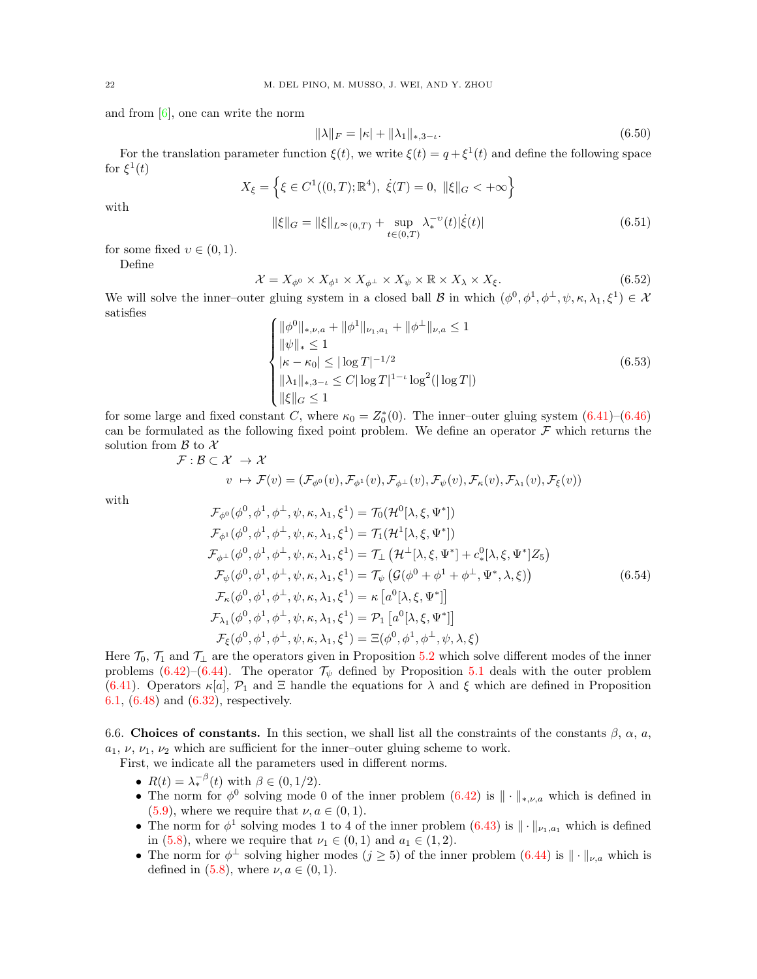and from  $[6]$ , one can write the norm

<span id="page-21-1"></span>
$$
\|\lambda\|_F = |\kappa| + \|\lambda_1\|_{*,3-\iota}.\tag{6.50}
$$

For the translation parameter function  $\xi(t)$ , we write  $\xi(t) = q + \xi^1(t)$  and define the following space for  $\xi^1(t)$ 

<span id="page-21-2"></span>
$$
X_{\xi} = \left\{ \xi \in C^{1}((0, T); \mathbb{R}^{4}), \ \dot{\xi}(T) = 0, \ \|\xi\|_{G} < +\infty \right\}
$$

$$
\|\xi\|_{G} = \|\xi\|_{L^{\infty}(0, T)} + \sup_{t \in (0, T)} \lambda_{*}^{-\nu}(t) |\dot{\xi}(t)| \tag{6.51}
$$

with

for some fixed  $v \in (0, 1)$ .

Define

<span id="page-21-0"></span>
$$
\mathcal{X} = X_{\phi^0} \times X_{\phi^1} \times X_{\phi^\perp} \times X_\psi \times \mathbb{R} \times X_\lambda \times X_\xi.
$$
 (6.52)

We will solve the inner-outer gluing system in a closed ball B in which  $(\phi^0, \phi^1, \phi^{\perp}, \psi, \kappa, \lambda_1, \xi^1) \in \mathcal{X}$ satisfies

<span id="page-21-4"></span>
$$
\begin{cases}\n\|\phi^0\|_{*,\nu,a} + \|\phi^1\|_{\nu,a} + \|\phi^\perp\|_{\nu,a} \le 1 \\
\|\psi\|_{*} \le 1 \\
|\kappa - \kappa_0| \le |\log T|^{-1/2} \\
\|\lambda_1\|_{*,3-\iota} \le C|\log T|^{1-\iota}\log^2(|\log T|)\n\end{cases} \tag{6.53}
$$
\n
$$
\|\xi\|_{G} \le 1
$$

for some large and fixed constant C, where  $\kappa_0 = Z_0^*(0)$ . The inner-outer gluing system  $(6.41)$ – $(6.46)$ can be formulated as the following fixed point problem. We define an operator  $\mathcal F$  which returns the solution from  $\beta$  to  $\chi$ 

$$
\mathcal{F}: \mathcal{B} \subset \mathcal{X} \rightarrow \mathcal{X}
$$

$$
v\ \mapsto \mathcal{F}(v)=(\mathcal{F}_{\phi^0}(v),\mathcal{F}_{\phi^1}(v),\mathcal{F}_{\phi^\perp}(v),\mathcal{F}_{\psi}(v),\mathcal{F}_{\kappa}(v),\mathcal{F}_{\lambda_1}(v),\mathcal{F}_{\xi}(v))
$$

with

<span id="page-21-3"></span>
$$
\mathcal{F}_{\phi^0}(\phi^0, \phi^1, \phi^{\perp}, \psi, \kappa, \lambda_1, \xi^1) = \mathcal{T}_0(\mathcal{H}^0[\lambda, \xi, \Psi^*]) \n\mathcal{F}_{\phi^1}(\phi^0, \phi^1, \phi^{\perp}, \psi, \kappa, \lambda_1, \xi^1) = \mathcal{T}_1(\mathcal{H}^1[\lambda, \xi, \Psi^*]) \n\mathcal{F}_{\phi^{\perp}}(\phi^0, \phi^1, \phi^{\perp}, \psi, \kappa, \lambda_1, \xi^1) = \mathcal{T}_\perp(\mathcal{H}^{\perp}[\lambda, \xi, \Psi^*] + c_*^0[\lambda, \xi, \Psi^*]Z_5) \n\mathcal{F}_{\psi}(\phi^0, \phi^1, \phi^{\perp}, \psi, \kappa, \lambda_1, \xi^1) = \mathcal{T}_{\psi}(\mathcal{G}(\phi^0 + \phi^1 + \phi^{\perp}, \Psi^*, \lambda, \xi)) \n\mathcal{F}_{\kappa}(\phi^0, \phi^1, \phi^{\perp}, \psi, \kappa, \lambda_1, \xi^1) = \kappa [a^0[\lambda, \xi, \Psi^*]] \n\mathcal{F}_{\lambda_1}(\phi^0, \phi^1, \phi^{\perp}, \psi, \kappa, \lambda_1, \xi^1) = \mathcal{P}_1 [a^0[\lambda, \xi, \Psi^*]] \n\mathcal{F}_{\xi}(\phi^0, \phi^1, \phi^{\perp}, \psi, \kappa, \lambda_1, \xi^1) = \Xi(\phi^0, \phi^1, \phi^{\perp}, \psi, \lambda, \xi)
$$
\n(6.54)

Here  $\mathcal{T}_0$ ,  $\mathcal{T}_1$  and  $\mathcal{T}_\perp$  are the operators given in Proposition [5.2](#page-11-0) which solve different modes of the inner problems [\(6.42\)](#page-19-4)–[\(6.44\)](#page-20-2). The operator  $\mathcal{T}_{\psi}$  defined by Proposition [5.1](#page-9-0) deals with the outer problem [\(6.41\)](#page-19-0). Operators  $\kappa[a], \mathcal{P}_1$  and  $\Xi$  handle the equations for  $\lambda$  and  $\xi$  which are defined in Proposition [6.1,](#page-19-2) [\(6.48\)](#page-20-3) and [\(6.32\)](#page-18-3), respectively.

<span id="page-21-5"></span>6.6. Choices of constants. In this section, we shall list all the constraints of the constants  $\beta$ ,  $\alpha$ ,  $a$ ,  $a_1, \nu, \nu_1, \nu_2$  which are sufficient for the inner–outer gluing scheme to work.

First, we indicate all the parameters used in different norms.

- $R(t) = \lambda_*^{-\beta}(t)$  with  $\beta \in (0, 1/2)$ .
- The norm for  $\phi^0$  solving mode 0 of the inner problem  $(6.42)$  is  $\|\cdot\|_{*,\nu,a}$  which is defined in  $(5.9)$ , where we require that  $\nu, a \in (0,1)$ .
- The norm for  $\phi^1$  solving modes 1 to 4 of the inner problem  $(6.43)$  is  $\|\cdot\|_{\nu_1,a_1}$  which is defined in [\(5.8\)](#page-11-2), where we require that  $\nu_1 \in (0,1)$  and  $a_1 \in (1,2)$ .
- The norm for  $\phi^{\perp}$  solving higher modes  $(j \geq 5)$  of the inner problem  $(6.44)$  is  $\|\cdot\|_{\nu,a}$  which is defined in  $(5.8)$ , where  $\nu, a \in (0, 1)$ .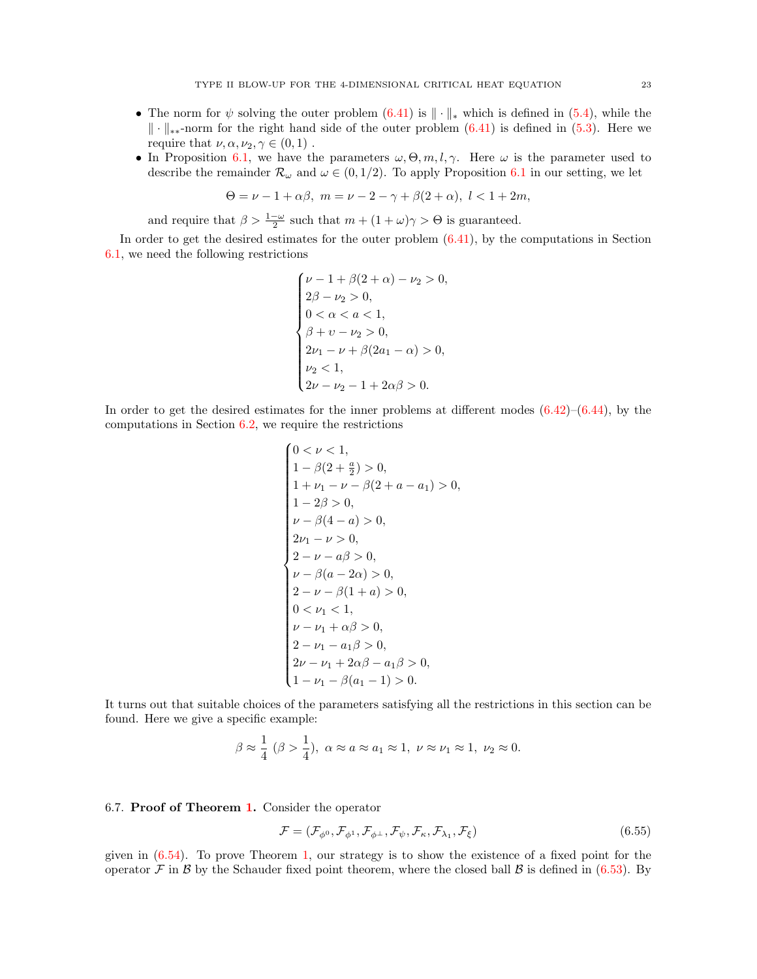- The norm for  $\psi$  solving the outer problem [\(6.41\)](#page-19-0) is  $\|\cdot\|_*$  which is defined in [\(5.4\)](#page-9-3), while the  $\|\cdot\|_{**}$ -norm for the right hand side of the outer problem [\(6.41\)](#page-19-0) is defined in [\(5.3\)](#page-8-2). Here we require that  $\nu, \alpha, \nu_2, \gamma \in (0, 1)$ .
- In Proposition [6.1,](#page-19-2) we have the parameters  $\omega, \Theta, m, l, \gamma$ . Here  $\omega$  is the parameter used to describe the remainder  $\mathcal{R}_{\omega}$  and  $\omega \in (0, 1/2)$ . To apply Proposition [6.1](#page-19-2) in our setting, we let

$$
\Theta = \nu - 1 + \alpha \beta, \ m = \nu - 2 - \gamma + \beta(2 + \alpha), \ l < 1 + 2m,
$$

and require that  $\beta > \frac{1-\omega}{2}$  such that  $m + (1+\omega)\gamma > \Theta$  is guaranteed.

In order to get the desired estimates for the outer problem [\(6.41\)](#page-19-0), by the computations in Section [6.1,](#page-12-1) we need the following restrictions

$$
\begin{cases} \nu-1+\beta(2+\alpha)-\nu_2>0, \\ 2\beta-\nu_2>0, \\ 0<\alpha< a<1, \\ \beta+\nu-\nu_2>0, \\ 2\nu_1-\nu+\beta(2a_1-\alpha)>0, \\ \nu_2<1, \\ 2\nu-\nu_2-1+2\alpha\beta>0. \end{cases}
$$

In order to get the desired estimates for the inner problems at different modes  $(6.42)$ – $(6.44)$ , by the computations in Section [6.2,](#page-15-0) we require the restrictions

$$
\begin{cases}\n0 < \nu < 1, \\
1 - \beta(2 + \frac{a}{2}) > 0, \\
1 + \nu_1 - \nu - \beta(2 + a - a_1) > 0, \\
1 - 2\beta > 0, \\
\nu - \beta(4 - a) > 0, \\
2\nu_1 - \nu > 0, \\
2 - \nu - a\beta > 0, \\
\nu - \beta(a - 2\alpha) > 0, \\
2 - \nu - \beta(1 + a) > 0, \\
0 < \nu_1 < 1, \\
\nu - \nu_1 + \alpha\beta > 0, \\
2 - \nu_1 - a_1\beta > 0, \\
2\nu - \nu_1 + 2\alpha\beta - a_1\beta > 0, \\
1 - \nu_1 - \beta(a_1 - 1) > 0.\n\end{cases}
$$

It turns out that suitable choices of the parameters satisfying all the restrictions in this section can be found. Here we give a specific example:

$$
\beta \approx \frac{1}{4} (\beta > \frac{1}{4}), \ \alpha \approx a \approx a_1 \approx 1, \ \nu \approx \nu_1 \approx 1, \ \nu_2 \approx 0.
$$

#### 6.7. Proof of Theorem [1.](#page-2-1) Consider the operator

<span id="page-22-0"></span>
$$
\mathcal{F} = (\mathcal{F}_{\phi^0}, \mathcal{F}_{\phi^1}, \mathcal{F}_{\phi^\perp}, \mathcal{F}_\psi, \mathcal{F}_\kappa, \mathcal{F}_{\lambda_1}, \mathcal{F}_\xi)
$$
(6.55)

given in  $(6.54)$ . To prove Theorem [1,](#page-2-1) our strategy is to show the existence of a fixed point for the operator  $\mathcal F$  in  $\mathcal B$  by the Schauder fixed point theorem, where the closed ball  $\mathcal B$  is defined in [\(6.53\)](#page-21-4). By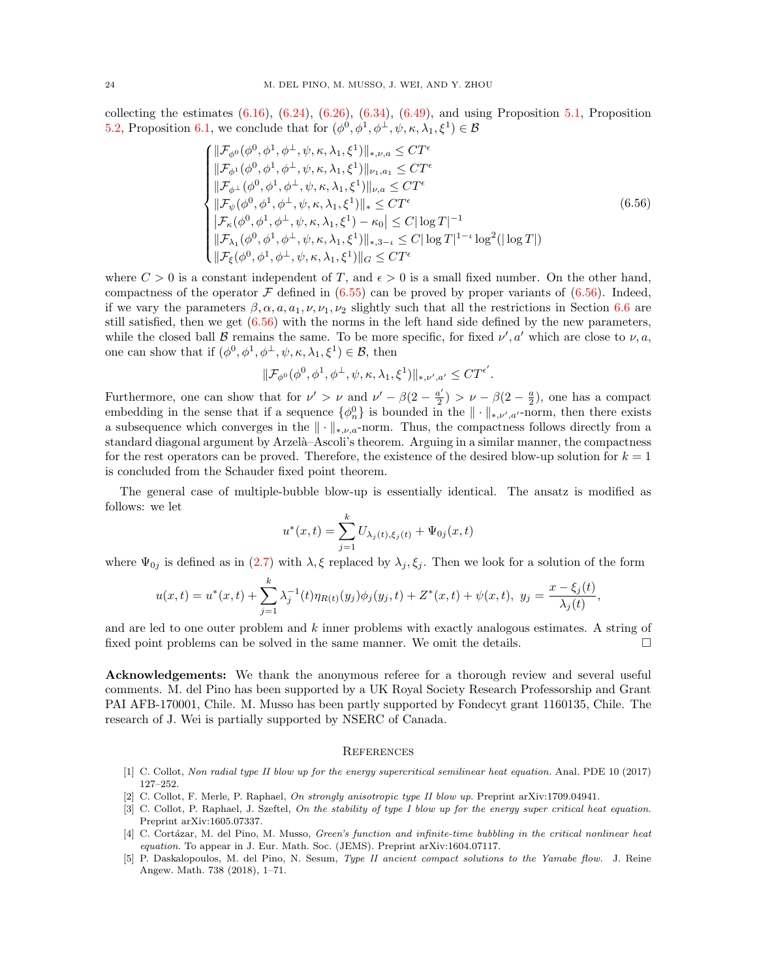collecting the estimates  $(6.16)$ ,  $(6.24)$ ,  $(6.26)$ ,  $(6.34)$ ,  $(6.49)$ , and using Proposition [5.1,](#page-9-0) Proposition [5.2,](#page-11-0) Proposition [6.1,](#page-19-2) we conclude that for  $(\phi^0, \phi^1, \phi^{\perp}, \psi, \kappa, \lambda_1, \xi^1) \in \mathcal{B}$ 

<span id="page-23-4"></span>
$$
\begin{cases}\n||\mathcal{F}_{\phi^{0}}(\phi^{0}, \phi^{1}, \phi^{+}, \psi, \kappa, \lambda_{1}, \xi^{1})||_{*,\nu,a} \leq C T^{\epsilon} \\
||\mathcal{F}_{\phi^{1}}(\phi^{0}, \phi^{1}, \phi^{+}, \psi, \kappa, \lambda_{1}, \xi^{1})||_{\nu_{1},a_{1}} \leq C T^{\epsilon} \\
||\mathcal{F}_{\phi^{+}}(\phi^{0}, \phi^{1}, \phi^{+}, \psi, \kappa, \lambda_{1}, \xi^{1})||_{\nu,a} \leq C T^{\epsilon} \\
||\mathcal{F}_{\psi}(\phi^{0}, \phi^{1}, \phi^{+}, \psi, \kappa, \lambda_{1}, \xi^{1})||_{*} \leq C T^{\epsilon} \\
|\mathcal{F}_{\kappa}(\phi^{0}, \phi^{1}, \phi^{+}, \psi, \kappa, \lambda_{1}, \xi^{1}) - \kappa_{0}| \leq C |\log T|^{-1} \\
||\mathcal{F}_{\lambda_{1}}(\phi^{0}, \phi^{1}, \phi^{+}, \psi, \kappa, \lambda_{1}, \xi^{1})||_{*,3-\iota} \leq C |\log T|^{1-\iota} \log^{2}(|\log T|) \\
||\mathcal{F}_{\xi}(\phi^{0}, \phi^{1}, \phi^{+}, \psi, \kappa, \lambda_{1}, \xi^{1})||_{\kappa} \leq C T^{\epsilon}\n\end{cases
$$
\n(6.56)

where  $C > 0$  is a constant independent of T, and  $\epsilon > 0$  is a small fixed number. On the other hand, compactness of the operator  $\mathcal F$  defined in [\(6.55\)](#page-22-0) can be proved by proper variants of [\(6.56\)](#page-23-4). Indeed, if we vary the parameters  $\beta$ ,  $\alpha$ ,  $a$ ,  $a_1$ ,  $\nu$ ,  $\nu_1$ ,  $\nu_2$  slightly such that all the restrictions in Section [6.6](#page-21-5) are still satisfied, then we get [\(6.56\)](#page-23-4) with the norms in the left hand side defined by the new parameters, while the closed ball B remains the same. To be more specific, for fixed  $\nu'$ , a' which are close to  $\nu$ , a, one can show that if  $(\phi^0, \phi^1, \phi^{\perp}, \psi, \kappa, \lambda_1, \xi^1) \in \mathcal{B}$ , then

$$
\| \mathcal{F}_{\phi^0}(\phi^0,\phi^1,\phi^\perp,\psi,\kappa,\lambda_1,\xi^1)\|_{*,\nu',a'} \leq C T^{\epsilon'}.
$$

Furthermore, one can show that for  $\nu' > \nu$  and  $\nu' - \beta(2 - \frac{a'}{2})$  $\frac{a'}{2}$ ) >  $\nu - \beta(2 - \frac{a}{2})$ , one has a compact embedding in the sense that if a sequence  $\{\phi_n^0\}$  is bounded in the  $\|\cdot\|_{*,\nu',a'}$ -norm, then there exists a subsequence which converges in the  $\|\cdot\|_{*,\nu,a}$ -norm. Thus, the compactness follows directly from a standard diagonal argument by Arzelà–Ascoli's theorem. Arguing in a similar manner, the compactness for the rest operators can be proved. Therefore, the existence of the desired blow-up solution for  $k = 1$ is concluded from the Schauder fixed point theorem.

The general case of multiple-bubble blow-up is essentially identical. The ansatz is modified as follows: we let

$$
u^*(x,t) = \sum_{j=1}^k U_{\lambda_j(t),\xi_j(t)} + \Psi_{0j}(x,t)
$$

where  $\Psi_{0j}$  is defined as in [\(2.7\)](#page-3-5) with  $\lambda, \xi$  replaced by  $\lambda_j, \xi_j$ . Then we look for a solution of the form

$$
u(x,t)=u^*(x,t)+\sum_{j=1}^k \lambda_j^{-1}(t)\eta_{R(t)}(y_j)\phi_j(y_j,t)+Z^*(x,t)+\psi(x,t),\ y_j=\frac{x-\xi_j(t)}{\lambda_j(t)},
$$

and are led to one outer problem and k inner problems with exactly analogous estimates. A string of fixed point problems can be solved in the same manner. We omit the details.

Acknowledgements: We thank the anonymous referee for a thorough review and several useful comments. M. del Pino has been supported by a UK Royal Society Research Professorship and Grant PAI AFB-170001, Chile. M. Musso has been partly supported by Fondecyt grant 1160135, Chile. The research of J. Wei is partially supported by NSERC of Canada.

#### **REFERENCES**

- <span id="page-23-1"></span>[1] C. Collot, Non radial type II blow up for the energy supercritical semilinear heat equation. Anal. PDE 10 (2017) 127–252.
- <span id="page-23-2"></span>[2] C. Collot, F. Merle, P. Raphael, On strongly anisotropic type II blow up. Preprint arXiv:1709.04941.
- <span id="page-23-0"></span>[3] C. Collot, P. Raphael, J. Szeftel, On the stability of type I blow up for the energy super critical heat equation. Preprint arXiv:1605.07337.
- <span id="page-23-3"></span>[4] C. Cortázar, M. del Pino, M. Musso, Green's function and infinite-time bubbling in the critical nonlinear heat equation. To appear in J. Eur. Math. Soc. (JEMS). Preprint arXiv:1604.07117.
- [5] P. Daskalopoulos, M. del Pino, N. Sesum, Type II ancient compact solutions to the Yamabe flow. J. Reine Angew. Math. 738 (2018), 1–71.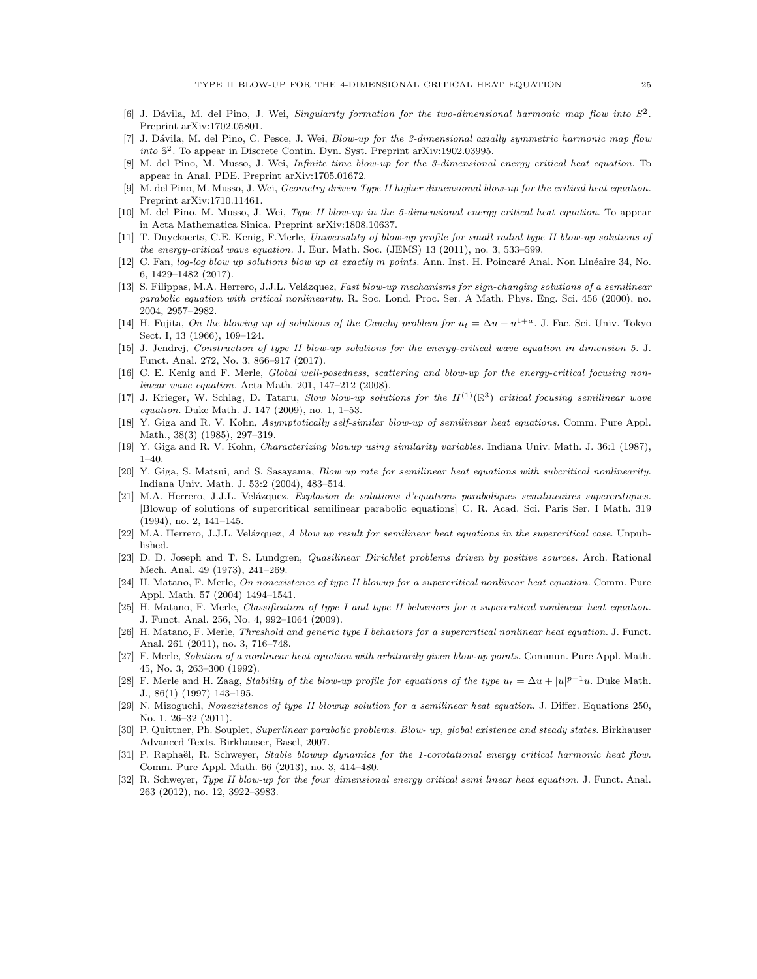- <span id="page-24-16"></span>[6] J. Dávila, M. del Pino, J. Wei, Singularity formation for the two-dimensional harmonic map flow into  $S^2$ . Preprint arXiv:1702.05801.
- [7] J. Dávila, M. del Pino, C. Pesce, J. Wei, Blow-up for the 3-dimensional axially symmetric harmonic map flow into S 2 . To appear in Discrete Contin. Dyn. Syst. Preprint arXiv:1902.03995.
- <span id="page-24-21"></span>[8] M. del Pino, M. Musso, J. Wei, Infinite time blow-up for the 3-dimensional energy critical heat equation. To appear in Anal. PDE. Preprint arXiv:1705.01672.
- <span id="page-24-22"></span>M. del Pino, M. Musso, J. Wei, Geometry driven Type II higher dimensional blow-up for the critical heat equation. Preprint arXiv:1710.11461.
- <span id="page-24-15"></span>[10] M. del Pino, M. Musso, J. Wei, Type II blow-up in the 5-dimensional energy critical heat equation. To appear in Acta Mathematica Sinica. Preprint arXiv:1808.10637.
- <span id="page-24-18"></span>[11] T. Duyckaerts, C.E. Kenig, F.Merle, Universality of blow-up profile for small radial type II blow-up solutions of the energy-critical wave equation. J. Eur. Math. Soc. (JEMS) 13 (2011), no. 3, 533–599.
- <span id="page-24-23"></span>[12] C. Fan, log-log blow up solutions blow up at exactly m points. Ann. Inst. H. Poincaré Anal. Non Linéaire 34, No. 6, 1429–1482 (2017).
- <span id="page-24-13"></span>[13] S. Filippas, M.A. Herrero, J.J.L. Velázquez, Fast blow-up mechanisms for sign-changing solutions of a semilinear parabolic equation with critical nonlinearity. R. Soc. Lond. Proc. Ser. A Math. Phys. Eng. Sci. 456 (2000), no. 2004, 2957–2982.
- <span id="page-24-0"></span>[14] H. Fujita, On the blowing up of solutions of the Cauchy problem for  $u_t = \Delta u + u^{1+a}$ . J. Fac. Sci. Univ. Tokyo Sect. I, 13 (1966), 109–124.
- <span id="page-24-19"></span>[15] J. Jendrej, Construction of type II blow-up solutions for the energy-critical wave equation in dimension 5. J. Funct. Anal. 272, No. 3, 866–917 (2017).
- [16] C. E. Kenig and F. Merle, Global well-posedness, scattering and blow-up for the energy-critical focusing nonlinear wave equation. Acta Math. 201, 147–212 (2008).
- <span id="page-24-20"></span>[17] J. Krieger, W. Schlag, D. Tataru, Slow blow-up solutions for the  $H^{(1)}(\mathbb{R}^3)$  critical focusing semilinear wave equation. Duke Math. J. 147 (2009), no. 1, 1–53.
- <span id="page-24-1"></span>[18] Y. Giga and R. V. Kohn, Asymptotically self-similar blow-up of semilinear heat equations. Comm. Pure Appl. Math., 38(3) (1985), 297–319.
- [19] Y. Giga and R. V. Kohn, Characterizing blowup using similarity variables. Indiana Univ. Math. J. 36:1 (1987), 1–40.
- <span id="page-24-2"></span>[20] Y. Giga, S. Matsui, and S. Sasayama, Blow up rate for semilinear heat equations with subcritical nonlinearity. Indiana Univ. Math. J. 53:2 (2004), 483–514.
- <span id="page-24-6"></span>[21] M.A. Herrero, J.J.L. Velázquez, Explosion de solutions d'equations paraboliques semilineaires supercritiques. [Blowup of solutions of supercritical semilinear parabolic equations] C. R. Acad. Sci. Paris Ser. I Math. 319 (1994), no. 2, 141–145.
- <span id="page-24-7"></span>[22] M.A. Herrero, J.J.L. Velázquez, A blow up result for semilinear heat equations in the supercritical case. Unpublished.
- <span id="page-24-8"></span>[23] D. D. Joseph and T. S. Lundgren, *Quasilinear Dirichlet problems driven by positive sources*. Arch. Rational Mech. Anal. 49 (1973), 241–269.
- <span id="page-24-10"></span>[24] H. Matano, F. Merle, On nonexistence of type II blowup for a supercritical nonlinear heat equation. Comm. Pure Appl. Math. 57 (2004) 1494–1541.
- <span id="page-24-11"></span>[25] H. Matano, F. Merle, Classification of type I and type II behaviors for a supercritical nonlinear heat equation. J. Funct. Anal. 256, No. 4, 992–1064 (2009).
- <span id="page-24-3"></span>[26] H. Matano, F. Merle, Threshold and generic type I behaviors for a supercritical nonlinear heat equation. J. Funct. Anal. 261 (2011), no. 3, 716–748.
- <span id="page-24-5"></span>[27] F. Merle, Solution of a nonlinear heat equation with arbitrarily given blow-up points. Commun. Pure Appl. Math. 45, No. 3, 263–300 (1992).
- <span id="page-24-4"></span>[28] F. Merle and H. Zaag, Stability of the blow-up profile for equations of the type  $u_t = \Delta u + |u|^{p-1}u$ . Duke Math. J., 86(1) (1997) 143–195.
- <span id="page-24-12"></span>[29] N. Mizoguchi, Nonexistence of type II blowup solution for a semilinear heat equation. J. Differ. Equations 250, No. 1, 26–32 (2011).
- <span id="page-24-9"></span>[30] P. Quittner, Ph. Souplet, Superlinear parabolic problems. Blow- up, global existence and steady states. Birkhauser Advanced Texts. Birkhauser, Basel, 2007.
- <span id="page-24-17"></span>[31] P. Raphaël, R. Schweyer, Stable blowup dynamics for the 1-corotational energy critical harmonic heat flow. Comm. Pure Appl. Math. 66 (2013), no. 3, 414–480.
- <span id="page-24-14"></span>[32] R. Schweyer, Type II blow-up for the four dimensional energy critical semi linear heat equation. J. Funct. Anal. 263 (2012), no. 12, 3922–3983.